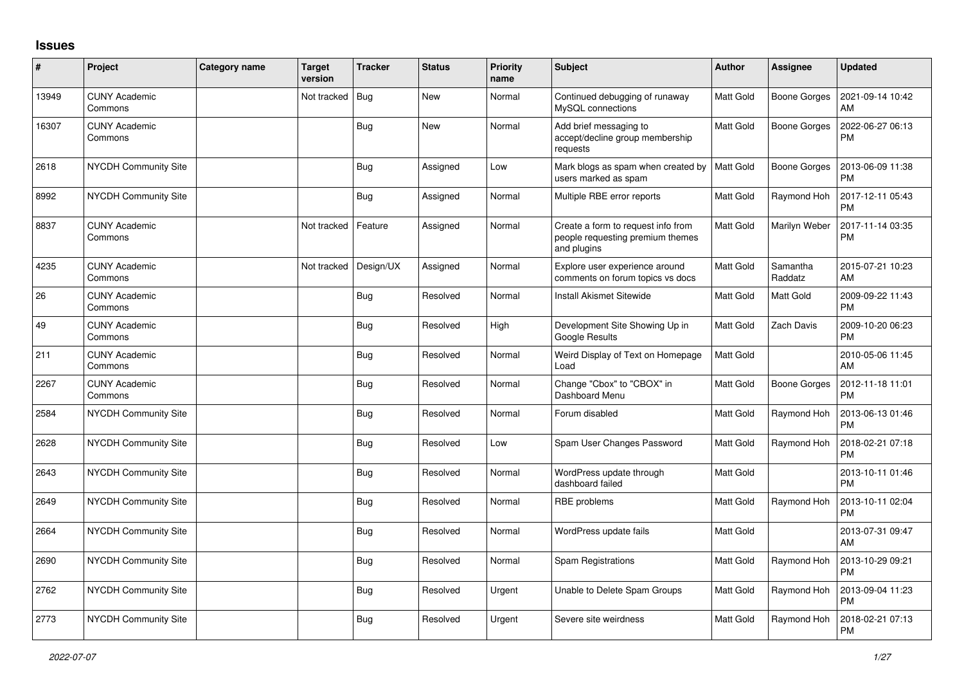## **Issues**

| ∦     | Project                         | <b>Category name</b> | <b>Target</b><br>version | <b>Tracker</b> | <b>Status</b> | <b>Priority</b><br>name | <b>Subject</b>                                                                        | <b>Author</b>    | <b>Assignee</b>     | <b>Updated</b>                |
|-------|---------------------------------|----------------------|--------------------------|----------------|---------------|-------------------------|---------------------------------------------------------------------------------------|------------------|---------------------|-------------------------------|
| 13949 | <b>CUNY Academic</b><br>Commons |                      | Not tracked              | Bug            | <b>New</b>    | Normal                  | Continued debugging of runaway<br>MySQL connections                                   | <b>Matt Gold</b> | Boone Gorges        | 2021-09-14 10:42<br>AM        |
| 16307 | <b>CUNY Academic</b><br>Commons |                      |                          | <b>Bug</b>     | <b>New</b>    | Normal                  | Add brief messaging to<br>accept/decline group membership<br>requests                 | Matt Gold        | <b>Boone Gorges</b> | 2022-06-27 06:13<br><b>PM</b> |
| 2618  | NYCDH Community Site            |                      |                          | <b>Bug</b>     | Assigned      | Low                     | Mark blogs as spam when created by<br>users marked as spam                            | Matt Gold        | Boone Gorges        | 2013-06-09 11:38<br><b>PM</b> |
| 8992  | NYCDH Community Site            |                      |                          | Bug            | Assigned      | Normal                  | Multiple RBE error reports                                                            | <b>Matt Gold</b> | Raymond Hoh         | 2017-12-11 05:43<br><b>PM</b> |
| 8837  | <b>CUNY Academic</b><br>Commons |                      | Not tracked              | Feature        | Assigned      | Normal                  | Create a form to request info from<br>people requesting premium themes<br>and plugins | <b>Matt Gold</b> | Marilyn Weber       | 2017-11-14 03:35<br><b>PM</b> |
| 4235  | <b>CUNY Academic</b><br>Commons |                      | Not tracked              | Design/UX      | Assigned      | Normal                  | Explore user experience around<br>comments on forum topics vs docs                    | Matt Gold        | Samantha<br>Raddatz | 2015-07-21 10:23<br>AM        |
| 26    | <b>CUNY Academic</b><br>Commons |                      |                          | Bug            | Resolved      | Normal                  | <b>Install Akismet Sitewide</b>                                                       | Matt Gold        | <b>Matt Gold</b>    | 2009-09-22 11:43<br><b>PM</b> |
| 49    | <b>CUNY Academic</b><br>Commons |                      |                          | Bug            | Resolved      | High                    | Development Site Showing Up in<br>Google Results                                      | <b>Matt Gold</b> | Zach Davis          | 2009-10-20 06:23<br><b>PM</b> |
| 211   | <b>CUNY Academic</b><br>Commons |                      |                          | <b>Bug</b>     | Resolved      | Normal                  | Weird Display of Text on Homepage<br>Load                                             | Matt Gold        |                     | 2010-05-06 11:45<br>AM        |
| 2267  | <b>CUNY Academic</b><br>Commons |                      |                          | <b>Bug</b>     | Resolved      | Normal                  | Change "Cbox" to "CBOX" in<br>Dashboard Menu                                          | <b>Matt Gold</b> | Boone Gorges        | 2012-11-18 11:01<br><b>PM</b> |
| 2584  | <b>NYCDH Community Site</b>     |                      |                          | Bug            | Resolved      | Normal                  | Forum disabled                                                                        | <b>Matt Gold</b> | Raymond Hoh         | 2013-06-13 01:46<br><b>PM</b> |
| 2628  | NYCDH Community Site            |                      |                          | Bug            | Resolved      | Low                     | Spam User Changes Password                                                            | <b>Matt Gold</b> | Raymond Hoh         | 2018-02-21 07:18<br><b>PM</b> |
| 2643  | <b>NYCDH Community Site</b>     |                      |                          | <b>Bug</b>     | Resolved      | Normal                  | WordPress update through<br>dashboard failed                                          | Matt Gold        |                     | 2013-10-11 01:46<br><b>PM</b> |
| 2649  | NYCDH Community Site            |                      |                          | Bug            | Resolved      | Normal                  | RBE problems                                                                          | <b>Matt Gold</b> | Raymond Hoh         | 2013-10-11 02:04<br><b>PM</b> |
| 2664  | <b>NYCDH Community Site</b>     |                      |                          | Bug            | Resolved      | Normal                  | WordPress update fails                                                                | Matt Gold        |                     | 2013-07-31 09:47<br>AM        |
| 2690  | NYCDH Community Site            |                      |                          | <b>Bug</b>     | Resolved      | Normal                  | Spam Registrations                                                                    | Matt Gold        | Raymond Hoh         | 2013-10-29 09:21<br><b>PM</b> |
| 2762  | <b>NYCDH Community Site</b>     |                      |                          | Bug            | Resolved      | Urgent                  | Unable to Delete Spam Groups                                                          | <b>Matt Gold</b> | Raymond Hoh         | 2013-09-04 11:23<br><b>PM</b> |
| 2773  | NYCDH Community Site            |                      |                          | Bug            | Resolved      | Urgent                  | Severe site weirdness                                                                 | <b>Matt Gold</b> | Raymond Hoh         | 2018-02-21 07:13<br><b>PM</b> |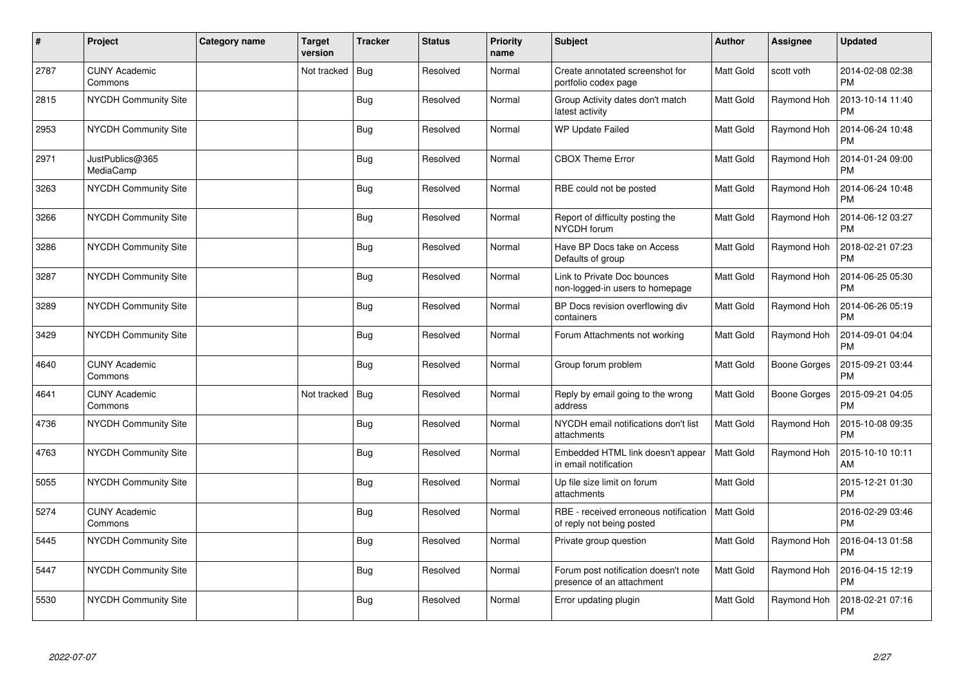| #    | Project                         | Category name | <b>Target</b><br>version | <b>Tracker</b> | <b>Status</b> | <b>Priority</b><br>name | <b>Subject</b>                                                     | <b>Author</b>    | <b>Assignee</b> | <b>Updated</b>                |
|------|---------------------------------|---------------|--------------------------|----------------|---------------|-------------------------|--------------------------------------------------------------------|------------------|-----------------|-------------------------------|
| 2787 | <b>CUNY Academic</b><br>Commons |               | Not tracked              | Bug            | Resolved      | Normal                  | Create annotated screenshot for<br>portfolio codex page            | <b>Matt Gold</b> | scott voth      | 2014-02-08 02:38<br><b>PM</b> |
| 2815 | <b>NYCDH Community Site</b>     |               |                          | <b>Bug</b>     | Resolved      | Normal                  | Group Activity dates don't match<br>latest activity                | <b>Matt Gold</b> | Raymond Hoh     | 2013-10-14 11:40<br><b>PM</b> |
| 2953 | NYCDH Community Site            |               |                          | <b>Bug</b>     | Resolved      | Normal                  | WP Update Failed                                                   | Matt Gold        | Raymond Hoh     | 2014-06-24 10:48<br><b>PM</b> |
| 2971 | JustPublics@365<br>MediaCamp    |               |                          | Bug            | Resolved      | Normal                  | <b>CBOX Theme Error</b>                                            | Matt Gold        | Raymond Hoh     | 2014-01-24 09:00<br><b>PM</b> |
| 3263 | NYCDH Community Site            |               |                          | <b>Bug</b>     | Resolved      | Normal                  | RBE could not be posted                                            | <b>Matt Gold</b> | Raymond Hoh     | 2014-06-24 10:48<br><b>PM</b> |
| 3266 | <b>NYCDH Community Site</b>     |               |                          | <b>Bug</b>     | Resolved      | Normal                  | Report of difficulty posting the<br>NYCDH forum                    | Matt Gold        | Raymond Hoh     | 2014-06-12 03:27<br><b>PM</b> |
| 3286 | <b>NYCDH Community Site</b>     |               |                          | <b>Bug</b>     | Resolved      | Normal                  | Have BP Docs take on Access<br>Defaults of group                   | <b>Matt Gold</b> | Raymond Hoh     | 2018-02-21 07:23<br><b>PM</b> |
| 3287 | NYCDH Community Site            |               |                          | <b>Bug</b>     | Resolved      | Normal                  | Link to Private Doc bounces<br>non-logged-in users to homepage     | Matt Gold        | Raymond Hoh     | 2014-06-25 05:30<br><b>PM</b> |
| 3289 | NYCDH Community Site            |               |                          | Bug            | Resolved      | Normal                  | BP Docs revision overflowing div<br>containers                     | <b>Matt Gold</b> | Raymond Hoh     | 2014-06-26 05:19<br><b>PM</b> |
| 3429 | <b>NYCDH Community Site</b>     |               |                          | <b>Bug</b>     | Resolved      | Normal                  | Forum Attachments not working                                      | <b>Matt Gold</b> | Raymond Hoh     | 2014-09-01 04:04<br><b>PM</b> |
| 4640 | <b>CUNY Academic</b><br>Commons |               |                          | <b>Bug</b>     | Resolved      | Normal                  | Group forum problem                                                | Matt Gold        | Boone Gorges    | 2015-09-21 03:44<br><b>PM</b> |
| 4641 | <b>CUNY Academic</b><br>Commons |               | Not tracked              | Bug            | Resolved      | Normal                  | Reply by email going to the wrong<br>address                       | Matt Gold        | Boone Gorges    | 2015-09-21 04:05<br><b>PM</b> |
| 4736 | NYCDH Community Site            |               |                          | <b>Bug</b>     | Resolved      | Normal                  | NYCDH email notifications don't list<br>attachments                | <b>Matt Gold</b> | Raymond Hoh     | 2015-10-08 09:35<br><b>PM</b> |
| 4763 | <b>NYCDH Community Site</b>     |               |                          | <b>Bug</b>     | Resolved      | Normal                  | Embedded HTML link doesn't appear<br>in email notification         | Matt Gold        | Raymond Hoh     | 2015-10-10 10:11<br>AM        |
| 5055 | <b>NYCDH Community Site</b>     |               |                          | Bug            | Resolved      | Normal                  | Up file size limit on forum<br>attachments                         | <b>Matt Gold</b> |                 | 2015-12-21 01:30<br><b>PM</b> |
| 5274 | <b>CUNY Academic</b><br>Commons |               |                          | <b>Bug</b>     | Resolved      | Normal                  | RBE - received erroneous notification<br>of reply not being posted | <b>Matt Gold</b> |                 | 2016-02-29 03:46<br><b>PM</b> |
| 5445 | <b>NYCDH Community Site</b>     |               |                          | <b>Bug</b>     | Resolved      | Normal                  | Private group question                                             | <b>Matt Gold</b> | Raymond Hoh     | 2016-04-13 01:58<br><b>PM</b> |
| 5447 | <b>NYCDH Community Site</b>     |               |                          | <b>Bug</b>     | Resolved      | Normal                  | Forum post notification doesn't note<br>presence of an attachment  | <b>Matt Gold</b> | Raymond Hoh     | 2016-04-15 12:19<br><b>PM</b> |
| 5530 | <b>NYCDH Community Site</b>     |               |                          | <b>Bug</b>     | Resolved      | Normal                  | Error updating plugin                                              | <b>Matt Gold</b> | Raymond Hoh     | 2018-02-21 07:16<br><b>PM</b> |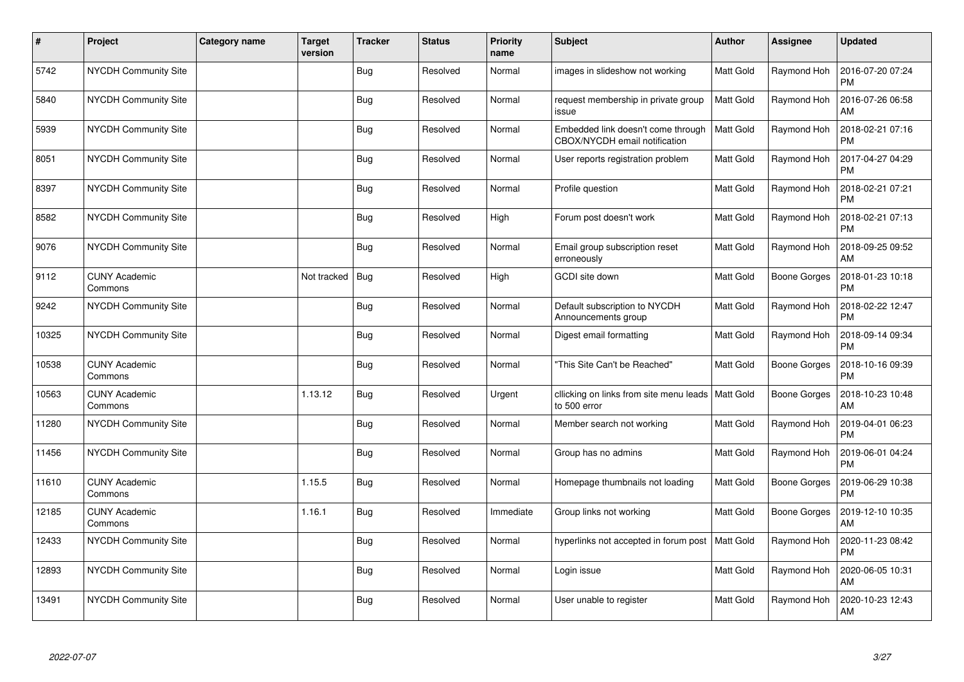| $\sharp$ | Project                         | Category name | Target<br>version | <b>Tracker</b> | <b>Status</b> | <b>Priority</b><br>name | <b>Subject</b>                                                      | <b>Author</b>    | <b>Assignee</b>     | <b>Updated</b>                |
|----------|---------------------------------|---------------|-------------------|----------------|---------------|-------------------------|---------------------------------------------------------------------|------------------|---------------------|-------------------------------|
| 5742     | NYCDH Community Site            |               |                   | Bug            | Resolved      | Normal                  | images in slideshow not working                                     | <b>Matt Gold</b> | Raymond Hoh         | 2016-07-20 07:24<br><b>PM</b> |
| 5840     | NYCDH Community Site            |               |                   | <b>Bug</b>     | Resolved      | Normal                  | request membership in private group<br>issue                        | <b>Matt Gold</b> | Raymond Hoh         | 2016-07-26 06:58<br>AM        |
| 5939     | NYCDH Community Site            |               |                   | <b>Bug</b>     | Resolved      | Normal                  | Embedded link doesn't come through<br>CBOX/NYCDH email notification | <b>Matt Gold</b> | Raymond Hoh         | 2018-02-21 07:16<br><b>PM</b> |
| 8051     | <b>NYCDH Community Site</b>     |               |                   | <b>Bug</b>     | Resolved      | Normal                  | User reports registration problem                                   | Matt Gold        | Raymond Hoh         | 2017-04-27 04:29<br><b>PM</b> |
| 8397     | NYCDH Community Site            |               |                   | Bug            | Resolved      | Normal                  | Profile question                                                    | Matt Gold        | Raymond Hoh         | 2018-02-21 07:21<br><b>PM</b> |
| 8582     | NYCDH Community Site            |               |                   | Bug            | Resolved      | High                    | Forum post doesn't work                                             | <b>Matt Gold</b> | Raymond Hoh         | 2018-02-21 07:13<br><b>PM</b> |
| 9076     | NYCDH Community Site            |               |                   | Bug            | Resolved      | Normal                  | Email group subscription reset<br>erroneously                       | Matt Gold        | Raymond Hoh         | 2018-09-25 09:52<br>AM        |
| 9112     | <b>CUNY Academic</b><br>Commons |               | Not tracked       | Bug            | Resolved      | High                    | GCDI site down                                                      | <b>Matt Gold</b> | Boone Gorges        | 2018-01-23 10:18<br><b>PM</b> |
| 9242     | NYCDH Community Site            |               |                   | Bug            | Resolved      | Normal                  | Default subscription to NYCDH<br>Announcements group                | <b>Matt Gold</b> | Raymond Hoh         | 2018-02-22 12:47<br><b>PM</b> |
| 10325    | NYCDH Community Site            |               |                   | <b>Bug</b>     | Resolved      | Normal                  | Digest email formatting                                             | Matt Gold        | Raymond Hoh         | 2018-09-14 09:34<br><b>PM</b> |
| 10538    | <b>CUNY Academic</b><br>Commons |               |                   | Bug            | Resolved      | Normal                  | "This Site Can't be Reached"                                        | <b>Matt Gold</b> | Boone Gorges        | 2018-10-16 09:39<br><b>PM</b> |
| 10563    | <b>CUNY Academic</b><br>Commons |               | 1.13.12           | <b>Bug</b>     | Resolved      | Urgent                  | cllicking on links from site menu leads  <br>to 500 error           | <b>Matt Gold</b> | Boone Gorges        | 2018-10-23 10:48<br>AM        |
| 11280    | <b>NYCDH Community Site</b>     |               |                   | Bug            | Resolved      | Normal                  | Member search not working                                           | <b>Matt Gold</b> | Raymond Hoh         | 2019-04-01 06:23<br><b>PM</b> |
| 11456    | NYCDH Community Site            |               |                   | <b>Bug</b>     | Resolved      | Normal                  | Group has no admins                                                 | Matt Gold        | Raymond Hoh         | 2019-06-01 04:24<br><b>PM</b> |
| 11610    | <b>CUNY Academic</b><br>Commons |               | 1.15.5            | <b>Bug</b>     | Resolved      | Normal                  | Homepage thumbnails not loading                                     | Matt Gold        | <b>Boone Gorges</b> | 2019-06-29 10:38<br><b>PM</b> |
| 12185    | <b>CUNY Academic</b><br>Commons |               | 1.16.1            | Bug            | Resolved      | Immediate               | Group links not working                                             | Matt Gold        | <b>Boone Gorges</b> | 2019-12-10 10:35<br>AM        |
| 12433    | <b>NYCDH Community Site</b>     |               |                   | <b>Bug</b>     | Resolved      | Normal                  | hyperlinks not accepted in forum post                               | <b>Matt Gold</b> | Raymond Hoh         | 2020-11-23 08:42<br>PM        |
| 12893    | NYCDH Community Site            |               |                   | Bug            | Resolved      | Normal                  | Login issue                                                         | Matt Gold        | Raymond Hoh         | 2020-06-05 10:31<br>AM        |
| 13491    | NYCDH Community Site            |               |                   | <b>Bug</b>     | Resolved      | Normal                  | User unable to register                                             | Matt Gold        | Raymond Hoh         | 2020-10-23 12:43<br>AM        |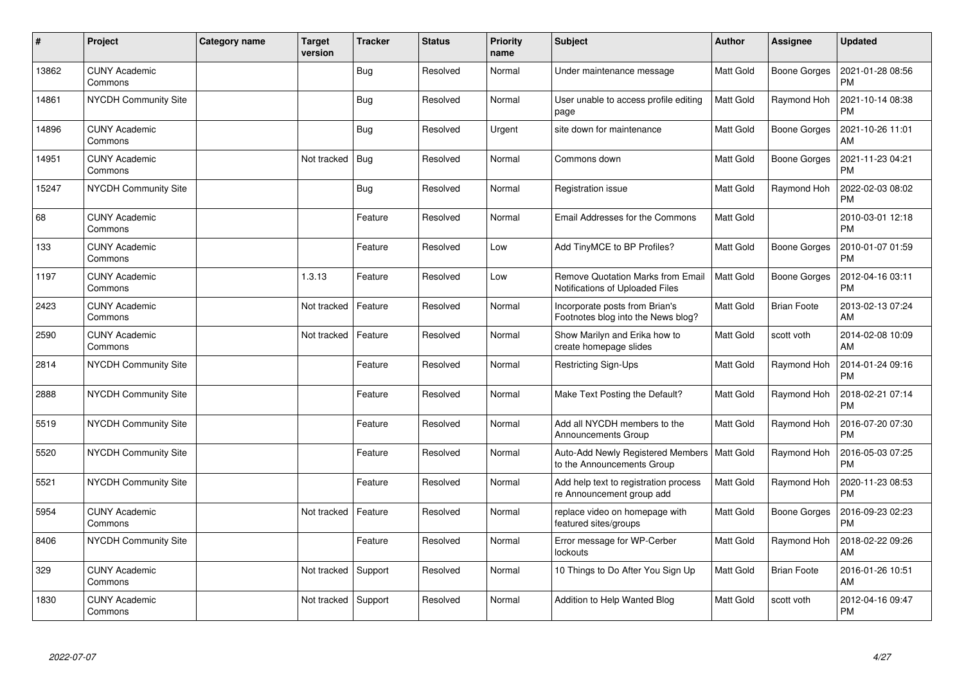| #     | Project                         | Category name | <b>Target</b><br>version | <b>Tracker</b> | <b>Status</b> | <b>Priority</b><br>name | <b>Subject</b>                                                              | <b>Author</b>    | <b>Assignee</b>    | <b>Updated</b>                |
|-------|---------------------------------|---------------|--------------------------|----------------|---------------|-------------------------|-----------------------------------------------------------------------------|------------------|--------------------|-------------------------------|
| 13862 | <b>CUNY Academic</b><br>Commons |               |                          | Bug            | Resolved      | Normal                  | Under maintenance message                                                   | <b>Matt Gold</b> | Boone Gorges       | 2021-01-28 08:56<br><b>PM</b> |
| 14861 | NYCDH Community Site            |               |                          | <b>Bug</b>     | Resolved      | Normal                  | User unable to access profile editing<br>page                               | <b>Matt Gold</b> | Raymond Hoh        | 2021-10-14 08:38<br><b>PM</b> |
| 14896 | <b>CUNY Academic</b><br>Commons |               |                          | Bug            | Resolved      | Urgent                  | site down for maintenance                                                   | <b>Matt Gold</b> | Boone Gorges       | 2021-10-26 11:01<br>AM        |
| 14951 | <b>CUNY Academic</b><br>Commons |               | Not tracked              | Bug            | Resolved      | Normal                  | Commons down                                                                | Matt Gold        | Boone Gorges       | 2021-11-23 04:21<br><b>PM</b> |
| 15247 | <b>NYCDH Community Site</b>     |               |                          | Bug            | Resolved      | Normal                  | Registration issue                                                          | <b>Matt Gold</b> | Raymond Hoh        | 2022-02-03 08:02<br><b>PM</b> |
| 68    | <b>CUNY Academic</b><br>Commons |               |                          | Feature        | Resolved      | Normal                  | Email Addresses for the Commons                                             | <b>Matt Gold</b> |                    | 2010-03-01 12:18<br><b>PM</b> |
| 133   | <b>CUNY Academic</b><br>Commons |               |                          | Feature        | Resolved      | Low                     | Add TinyMCE to BP Profiles?                                                 | Matt Gold        | Boone Gorges       | 2010-01-07 01:59<br><b>PM</b> |
| 1197  | <b>CUNY Academic</b><br>Commons |               | 1.3.13                   | Feature        | Resolved      | Low                     | <b>Remove Quotation Marks from Email</b><br>Notifications of Uploaded Files | Matt Gold        | Boone Gorges       | 2012-04-16 03:11<br><b>PM</b> |
| 2423  | <b>CUNY Academic</b><br>Commons |               | Not tracked              | Feature        | Resolved      | Normal                  | Incorporate posts from Brian's<br>Footnotes blog into the News blog?        | <b>Matt Gold</b> | <b>Brian Foote</b> | 2013-02-13 07:24<br>AM        |
| 2590  | <b>CUNY Academic</b><br>Commons |               | Not tracked              | Feature        | Resolved      | Normal                  | Show Marilyn and Erika how to<br>create homepage slides                     | Matt Gold        | scott voth         | 2014-02-08 10:09<br>AM        |
| 2814  | <b>NYCDH Community Site</b>     |               |                          | Feature        | Resolved      | Normal                  | <b>Restricting Sign-Ups</b>                                                 | <b>Matt Gold</b> | Raymond Hoh        | 2014-01-24 09:16<br><b>PM</b> |
| 2888  | <b>NYCDH Community Site</b>     |               |                          | Feature        | Resolved      | Normal                  | Make Text Posting the Default?                                              | Matt Gold        | Raymond Hoh        | 2018-02-21 07:14<br><b>PM</b> |
| 5519  | NYCDH Community Site            |               |                          | Feature        | Resolved      | Normal                  | Add all NYCDH members to the<br>Announcements Group                         | Matt Gold        | Raymond Hoh        | 2016-07-20 07:30<br><b>PM</b> |
| 5520  | <b>NYCDH Community Site</b>     |               |                          | Feature        | Resolved      | Normal                  | Auto-Add Newly Registered Members<br>to the Announcements Group             | <b>Matt Gold</b> | Raymond Hoh        | 2016-05-03 07:25<br><b>PM</b> |
| 5521  | NYCDH Community Site            |               |                          | Feature        | Resolved      | Normal                  | Add help text to registration process<br>re Announcement group add          | Matt Gold        | Raymond Hoh        | 2020-11-23 08:53<br><b>PM</b> |
| 5954  | <b>CUNY Academic</b><br>Commons |               | Not tracked              | Feature        | Resolved      | Normal                  | replace video on homepage with<br>featured sites/groups                     | Matt Gold        | Boone Gorges       | 2016-09-23 02:23<br><b>PM</b> |
| 8406  | <b>NYCDH Community Site</b>     |               |                          | Feature        | Resolved      | Normal                  | Error message for WP-Cerber<br>lockouts                                     | Matt Gold        | Raymond Hoh        | 2018-02-22 09:26<br>AM        |
| 329   | <b>CUNY Academic</b><br>Commons |               | Not tracked              | Support        | Resolved      | Normal                  | 10 Things to Do After You Sign Up                                           | Matt Gold        | <b>Brian Foote</b> | 2016-01-26 10:51<br>AM        |
| 1830  | <b>CUNY Academic</b><br>Commons |               | Not tracked              | Support        | Resolved      | Normal                  | Addition to Help Wanted Blog                                                | <b>Matt Gold</b> | scott voth         | 2012-04-16 09:47<br><b>PM</b> |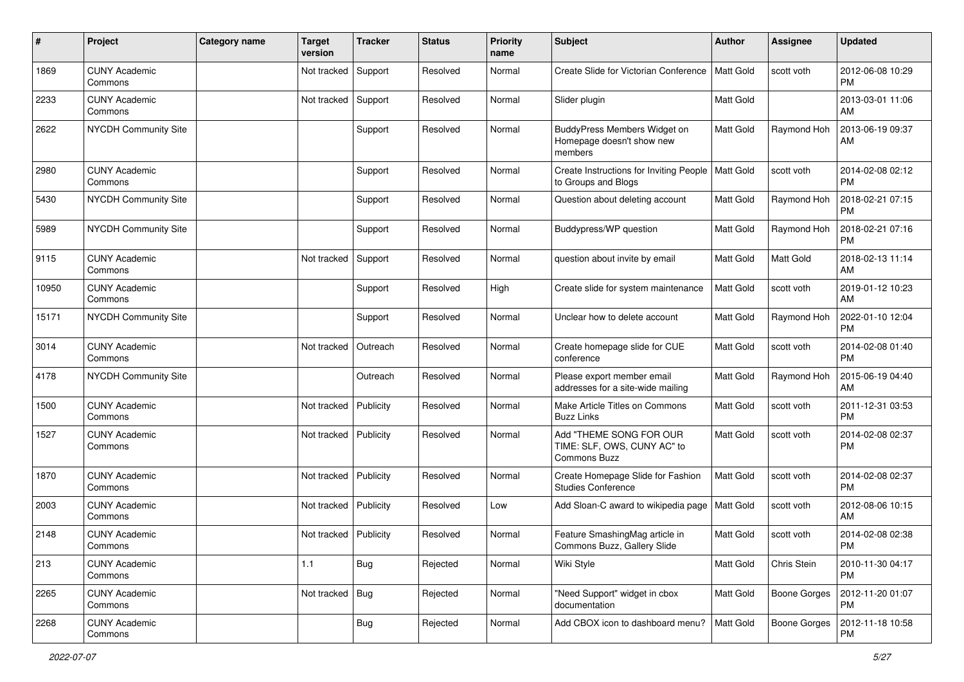| $\#$  | Project                         | <b>Category name</b> | <b>Target</b><br>version | <b>Tracker</b> | <b>Status</b> | <b>Priority</b><br>name | <b>Subject</b>                                                         | Author           | Assignee         | <b>Updated</b>                |
|-------|---------------------------------|----------------------|--------------------------|----------------|---------------|-------------------------|------------------------------------------------------------------------|------------------|------------------|-------------------------------|
| 1869  | <b>CUNY Academic</b><br>Commons |                      | Not tracked              | Support        | Resolved      | Normal                  | Create Slide for Victorian Conference                                  | <b>Matt Gold</b> | scott voth       | 2012-06-08 10:29<br><b>PM</b> |
| 2233  | <b>CUNY Academic</b><br>Commons |                      | Not tracked              | Support        | Resolved      | Normal                  | Slider plugin                                                          | <b>Matt Gold</b> |                  | 2013-03-01 11:06<br>AM        |
| 2622  | NYCDH Community Site            |                      |                          | Support        | Resolved      | Normal                  | BuddyPress Members Widget on<br>Homepage doesn't show new<br>members   | <b>Matt Gold</b> | Raymond Hoh      | 2013-06-19 09:37<br>AM        |
| 2980  | <b>CUNY Academic</b><br>Commons |                      |                          | Support        | Resolved      | Normal                  | Create Instructions for Inviting People<br>to Groups and Blogs         | <b>Matt Gold</b> | scott voth       | 2014-02-08 02:12<br><b>PM</b> |
| 5430  | NYCDH Community Site            |                      |                          | Support        | Resolved      | Normal                  | Question about deleting account                                        | <b>Matt Gold</b> | Raymond Hoh      | 2018-02-21 07:15<br><b>PM</b> |
| 5989  | NYCDH Community Site            |                      |                          | Support        | Resolved      | Normal                  | Buddypress/WP question                                                 | Matt Gold        | Raymond Hoh      | 2018-02-21 07:16<br><b>PM</b> |
| 9115  | <b>CUNY Academic</b><br>Commons |                      | Not tracked              | Support        | Resolved      | Normal                  | question about invite by email                                         | <b>Matt Gold</b> | <b>Matt Gold</b> | 2018-02-13 11:14<br>AM        |
| 10950 | <b>CUNY Academic</b><br>Commons |                      |                          | Support        | Resolved      | High                    | Create slide for system maintenance                                    | Matt Gold        | scott voth       | 2019-01-12 10:23<br>AM        |
| 15171 | NYCDH Community Site            |                      |                          | Support        | Resolved      | Normal                  | Unclear how to delete account                                          | Matt Gold        | Raymond Hoh      | 2022-01-10 12:04<br><b>PM</b> |
| 3014  | <b>CUNY Academic</b><br>Commons |                      | Not tracked              | Outreach       | Resolved      | Normal                  | Create homepage slide for CUE<br>conference                            | <b>Matt Gold</b> | scott voth       | 2014-02-08 01:40<br><b>PM</b> |
| 4178  | NYCDH Community Site            |                      |                          | Outreach       | Resolved      | Normal                  | Please export member email<br>addresses for a site-wide mailing        | Matt Gold        | Raymond Hoh      | 2015-06-19 04:40<br>AM        |
| 1500  | <b>CUNY Academic</b><br>Commons |                      | Not tracked              | Publicity      | Resolved      | Normal                  | Make Article Titles on Commons<br><b>Buzz Links</b>                    | Matt Gold        | scott voth       | 2011-12-31 03:53<br><b>PM</b> |
| 1527  | <b>CUNY Academic</b><br>Commons |                      | Not tracked              | Publicity      | Resolved      | Normal                  | Add "THEME SONG FOR OUR<br>TIME: SLF, OWS, CUNY AC" to<br>Commons Buzz | <b>Matt Gold</b> | scott voth       | 2014-02-08 02:37<br><b>PM</b> |
| 1870  | <b>CUNY Academic</b><br>Commons |                      | Not tracked              | Publicity      | Resolved      | Normal                  | Create Homepage Slide for Fashion<br><b>Studies Conference</b>         | Matt Gold        | scott voth       | 2014-02-08 02:37<br><b>PM</b> |
| 2003  | <b>CUNY Academic</b><br>Commons |                      | Not tracked              | Publicity      | Resolved      | Low                     | Add Sloan-C award to wikipedia page                                    | Matt Gold        | scott voth       | 2012-08-06 10:15<br>AM        |
| 2148  | <b>CUNY Academic</b><br>Commons |                      | Not tracked              | Publicity      | Resolved      | Normal                  | Feature SmashingMag article in<br>Commons Buzz, Gallery Slide          | Matt Gold        | scott voth       | 2014-02-08 02:38<br><b>PM</b> |
| 213   | <b>CUNY Academic</b><br>Commons |                      | 1.1                      | Bug            | Rejected      | Normal                  | Wiki Style                                                             | <b>Matt Gold</b> | Chris Stein      | 2010-11-30 04:17<br><b>PM</b> |
| 2265  | <b>CUNY Academic</b><br>Commons |                      | Not tracked              | $\vert$ Bug    | Rejected      | Normal                  | "Need Support" widget in cbox<br>documentation                         | Matt Gold        | Boone Gorges     | 2012-11-20 01:07<br>PM        |
| 2268  | <b>CUNY Academic</b><br>Commons |                      |                          | <b>Bug</b>     | Rejected      | Normal                  | Add CBOX icon to dashboard menu?                                       | Matt Gold        | Boone Gorges     | 2012-11-18 10:58<br>PM        |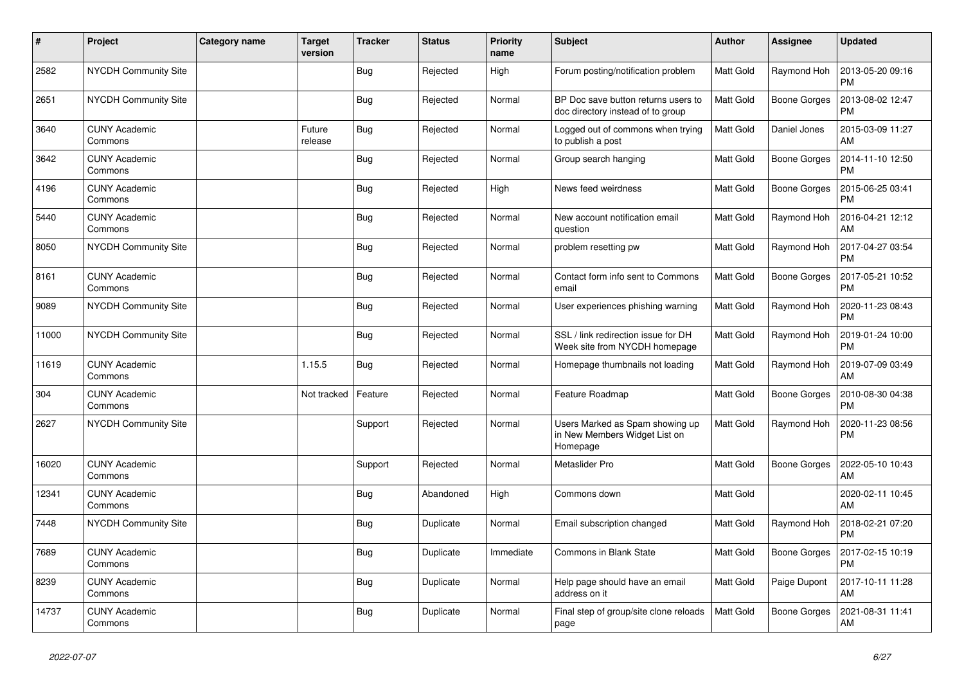| $\pmb{\#}$ | Project                         | <b>Category name</b> | Target<br>version | <b>Tracker</b> | <b>Status</b> | <b>Priority</b><br>name | <b>Subject</b>                                                               | <b>Author</b>    | <b>Assignee</b>     | <b>Updated</b>                |
|------------|---------------------------------|----------------------|-------------------|----------------|---------------|-------------------------|------------------------------------------------------------------------------|------------------|---------------------|-------------------------------|
| 2582       | <b>NYCDH Community Site</b>     |                      |                   | <b>Bug</b>     | Rejected      | High                    | Forum posting/notification problem                                           | <b>Matt Gold</b> | Raymond Hoh         | 2013-05-20 09:16<br><b>PM</b> |
| 2651       | <b>NYCDH Community Site</b>     |                      |                   | <b>Bug</b>     | Rejected      | Normal                  | BP Doc save button returns users to<br>doc directory instead of to group     | Matt Gold        | <b>Boone Gorges</b> | 2013-08-02 12:47<br><b>PM</b> |
| 3640       | <b>CUNY Academic</b><br>Commons |                      | Future<br>release | <b>Bug</b>     | Rejected      | Normal                  | Logged out of commons when trying<br>to publish a post                       | Matt Gold        | Daniel Jones        | 2015-03-09 11:27<br><b>AM</b> |
| 3642       | <b>CUNY Academic</b><br>Commons |                      |                   | <b>Bug</b>     | Rejected      | Normal                  | Group search hanging                                                         | <b>Matt Gold</b> | <b>Boone Gorges</b> | 2014-11-10 12:50<br><b>PM</b> |
| 4196       | <b>CUNY Academic</b><br>Commons |                      |                   | <b>Bug</b>     | Rejected      | High                    | News feed weirdness                                                          | <b>Matt Gold</b> | <b>Boone Gorges</b> | 2015-06-25 03:41<br><b>PM</b> |
| 5440       | <b>CUNY Academic</b><br>Commons |                      |                   | <b>Bug</b>     | Rejected      | Normal                  | New account notification email<br>question                                   | <b>Matt Gold</b> | Raymond Hoh         | 2016-04-21 12:12<br>AM        |
| 8050       | NYCDH Community Site            |                      |                   | <b>Bug</b>     | Rejected      | Normal                  | problem resetting pw                                                         | <b>Matt Gold</b> | Raymond Hoh         | 2017-04-27 03:54<br><b>PM</b> |
| 8161       | <b>CUNY Academic</b><br>Commons |                      |                   | <b>Bug</b>     | Rejected      | Normal                  | Contact form info sent to Commons<br>email                                   | Matt Gold        | <b>Boone Gorges</b> | 2017-05-21 10:52<br><b>PM</b> |
| 9089       | NYCDH Community Site            |                      |                   | <b>Bug</b>     | Rejected      | Normal                  | User experiences phishing warning                                            | Matt Gold        | Raymond Hoh         | 2020-11-23 08:43<br><b>PM</b> |
| 11000      | NYCDH Community Site            |                      |                   | <b>Bug</b>     | Rejected      | Normal                  | SSL / link redirection issue for DH<br>Week site from NYCDH homepage         | <b>Matt Gold</b> | Raymond Hoh         | 2019-01-24 10:00<br><b>PM</b> |
| 11619      | <b>CUNY Academic</b><br>Commons |                      | 1.15.5            | <b>Bug</b>     | Rejected      | Normal                  | Homepage thumbnails not loading                                              | Matt Gold        | Raymond Hoh         | 2019-07-09 03:49<br>AM        |
| 304        | <b>CUNY Academic</b><br>Commons |                      | Not tracked       | Feature        | Rejected      | Normal                  | Feature Roadmap                                                              | Matt Gold        | Boone Gorges        | 2010-08-30 04:38<br><b>PM</b> |
| 2627       | <b>NYCDH Community Site</b>     |                      |                   | Support        | Rejected      | Normal                  | Users Marked as Spam showing up<br>in New Members Widget List on<br>Homepage | <b>Matt Gold</b> | Raymond Hoh         | 2020-11-23 08:56<br><b>PM</b> |
| 16020      | <b>CUNY Academic</b><br>Commons |                      |                   | Support        | Rejected      | Normal                  | Metaslider Pro                                                               | <b>Matt Gold</b> | Boone Gorges        | 2022-05-10 10:43<br>AM        |
| 12341      | <b>CUNY Academic</b><br>Commons |                      |                   | <b>Bug</b>     | Abandoned     | High                    | Commons down                                                                 | Matt Gold        |                     | 2020-02-11 10:45<br>AM        |
| 7448       | <b>NYCDH Community Site</b>     |                      |                   | Bug            | Duplicate     | Normal                  | Email subscription changed                                                   | <b>Matt Gold</b> | Raymond Hoh         | 2018-02-21 07:20<br><b>PM</b> |
| 7689       | <b>CUNY Academic</b><br>Commons |                      |                   | <b>Bug</b>     | Duplicate     | Immediate               | Commons in Blank State                                                       | Matt Gold        | Boone Gorges        | 2017-02-15 10:19<br><b>PM</b> |
| 8239       | <b>CUNY Academic</b><br>Commons |                      |                   | Bug            | Duplicate     | Normal                  | Help page should have an email<br>address on it                              | <b>Matt Gold</b> | Paige Dupont        | 2017-10-11 11:28<br>AM        |
| 14737      | <b>CUNY Academic</b><br>Commons |                      |                   | <b>Bug</b>     | Duplicate     | Normal                  | Final step of group/site clone reloads<br>page                               | <b>Matt Gold</b> | <b>Boone Gorges</b> | 2021-08-31 11:41<br>AM        |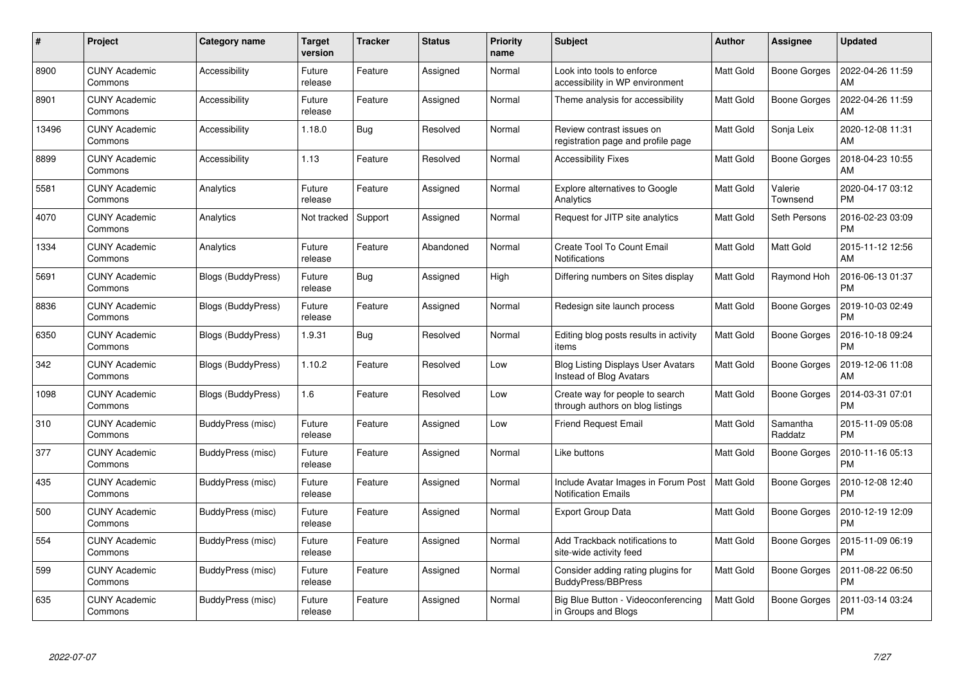| #     | Project                         | Category name      | Target<br>version | <b>Tracker</b> | <b>Status</b> | <b>Priority</b><br>name | <b>Subject</b>                                                       | <b>Author</b>    | <b>Assignee</b>     | <b>Updated</b>                |
|-------|---------------------------------|--------------------|-------------------|----------------|---------------|-------------------------|----------------------------------------------------------------------|------------------|---------------------|-------------------------------|
| 8900  | <b>CUNY Academic</b><br>Commons | Accessibility      | Future<br>release | Feature        | Assigned      | Normal                  | Look into tools to enforce<br>accessibility in WP environment        | <b>Matt Gold</b> | <b>Boone Gorges</b> | 2022-04-26 11:59<br>AM        |
| 8901  | <b>CUNY Academic</b><br>Commons | Accessibility      | Future<br>release | Feature        | Assigned      | Normal                  | Theme analysis for accessibility                                     | Matt Gold        | <b>Boone Gorges</b> | 2022-04-26 11:59<br>AM        |
| 13496 | <b>CUNY Academic</b><br>Commons | Accessibility      | 1.18.0            | Bug            | Resolved      | Normal                  | Review contrast issues on<br>registration page and profile page      | Matt Gold        | Sonja Leix          | 2020-12-08 11:31<br>AM        |
| 8899  | <b>CUNY Academic</b><br>Commons | Accessibility      | 1.13              | Feature        | Resolved      | Normal                  | <b>Accessibility Fixes</b>                                           | <b>Matt Gold</b> | Boone Gorges        | 2018-04-23 10:55<br>AM        |
| 5581  | <b>CUNY Academic</b><br>Commons | Analytics          | Future<br>release | Feature        | Assigned      | Normal                  | Explore alternatives to Google<br>Analytics                          | <b>Matt Gold</b> | Valerie<br>Townsend | 2020-04-17 03:12<br><b>PM</b> |
| 4070  | <b>CUNY Academic</b><br>Commons | Analytics          | Not tracked       | Support        | Assigned      | Normal                  | Request for JITP site analytics                                      | Matt Gold        | Seth Persons        | 2016-02-23 03:09<br><b>PM</b> |
| 1334  | <b>CUNY Academic</b><br>Commons | Analytics          | Future<br>release | Feature        | Abandoned     | Normal                  | Create Tool To Count Email<br>Notifications                          | <b>Matt Gold</b> | <b>Matt Gold</b>    | 2015-11-12 12:56<br>AM        |
| 5691  | <b>CUNY Academic</b><br>Commons | Blogs (BuddyPress) | Future<br>release | Bug            | Assigned      | High                    | Differing numbers on Sites display                                   | <b>Matt Gold</b> | Raymond Hoh         | 2016-06-13 01:37<br><b>PM</b> |
| 8836  | <b>CUNY Academic</b><br>Commons | Blogs (BuddyPress) | Future<br>release | Feature        | Assigned      | Normal                  | Redesign site launch process                                         | <b>Matt Gold</b> | <b>Boone Gorges</b> | 2019-10-03 02:49<br><b>PM</b> |
| 6350  | <b>CUNY Academic</b><br>Commons | Blogs (BuddyPress) | 1.9.31            | Bug            | Resolved      | Normal                  | Editing blog posts results in activity<br>items                      | Matt Gold        | Boone Gorges        | 2016-10-18 09:24<br><b>PM</b> |
| 342   | <b>CUNY Academic</b><br>Commons | Blogs (BuddyPress) | 1.10.2            | Feature        | Resolved      | Low                     | <b>Blog Listing Displays User Avatars</b><br>Instead of Blog Avatars | <b>Matt Gold</b> | Boone Gorges        | 2019-12-06 11:08<br>AM        |
| 1098  | <b>CUNY Academic</b><br>Commons | Blogs (BuddyPress) | 1.6               | Feature        | Resolved      | Low                     | Create way for people to search<br>through authors on blog listings  | <b>Matt Gold</b> | Boone Gorges        | 2014-03-31 07:01<br><b>PM</b> |
| 310   | <b>CUNY Academic</b><br>Commons | BuddyPress (misc)  | Future<br>release | Feature        | Assigned      | Low                     | <b>Friend Request Email</b>                                          | Matt Gold        | Samantha<br>Raddatz | 2015-11-09 05:08<br><b>PM</b> |
| 377   | <b>CUNY Academic</b><br>Commons | BuddyPress (misc)  | Future<br>release | Feature        | Assigned      | Normal                  | Like buttons                                                         | <b>Matt Gold</b> | Boone Gorges        | 2010-11-16 05:13<br><b>PM</b> |
| 435   | <b>CUNY Academic</b><br>Commons | BuddyPress (misc)  | Future<br>release | Feature        | Assigned      | Normal                  | Include Avatar Images in Forum Post<br><b>Notification Emails</b>    | Matt Gold        | Boone Gorges        | 2010-12-08 12:40<br><b>PM</b> |
| 500   | <b>CUNY Academic</b><br>Commons | BuddyPress (misc)  | Future<br>release | Feature        | Assigned      | Normal                  | <b>Export Group Data</b>                                             | Matt Gold        | Boone Gorges        | 2010-12-19 12:09<br><b>PM</b> |
| 554   | <b>CUNY Academic</b><br>Commons | BuddyPress (misc)  | Future<br>release | Feature        | Assigned      | Normal                  | Add Trackback notifications to<br>site-wide activity feed            | <b>Matt Gold</b> | Boone Gorges        | 2015-11-09 06:19<br><b>PM</b> |
| 599   | <b>CUNY Academic</b><br>Commons | BuddyPress (misc)  | Future<br>release | Feature        | Assigned      | Normal                  | Consider adding rating plugins for<br><b>BuddyPress/BBPress</b>      | <b>Matt Gold</b> | Boone Gorges        | 2011-08-22 06:50<br><b>PM</b> |
| 635   | CUNY Academic<br>Commons        | BuddyPress (misc)  | Future<br>release | Feature        | Assigned      | Normal                  | Big Blue Button - Videoconferencing<br>in Groups and Blogs           | <b>Matt Gold</b> | Boone Gorges        | 2011-03-14 03:24<br>PM        |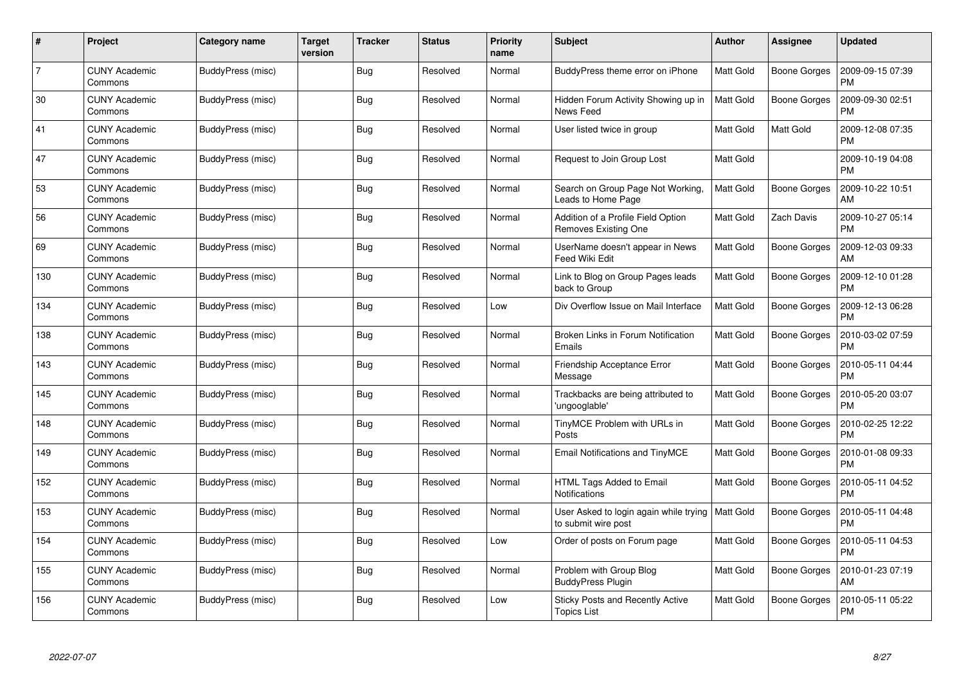| #   | Project                         | Category name     | <b>Target</b><br>version | <b>Tracker</b> | <b>Status</b> | <b>Priority</b><br>name | <b>Subject</b>                                                | Author           | <b>Assignee</b>     | <b>Updated</b>                |
|-----|---------------------------------|-------------------|--------------------------|----------------|---------------|-------------------------|---------------------------------------------------------------|------------------|---------------------|-------------------------------|
| 7   | <b>CUNY Academic</b><br>Commons | BuddyPress (misc) |                          | Bug            | Resolved      | Normal                  | BuddyPress theme error on iPhone                              | <b>Matt Gold</b> | Boone Gorges        | 2009-09-15 07:39<br><b>PM</b> |
| 30  | <b>CUNY Academic</b><br>Commons | BuddyPress (misc) |                          | Bug            | Resolved      | Normal                  | Hidden Forum Activity Showing up in<br>News Feed              | <b>Matt Gold</b> | Boone Gorges        | 2009-09-30 02:51<br>PM        |
| 41  | <b>CUNY Academic</b><br>Commons | BuddyPress (misc) |                          | Bug            | Resolved      | Normal                  | User listed twice in group                                    | Matt Gold        | Matt Gold           | 2009-12-08 07:35<br><b>PM</b> |
| 47  | <b>CUNY Academic</b><br>Commons | BuddyPress (misc) |                          | Bug            | Resolved      | Normal                  | Request to Join Group Lost                                    | <b>Matt Gold</b> |                     | 2009-10-19 04:08<br><b>PM</b> |
| 53  | <b>CUNY Academic</b><br>Commons | BuddyPress (misc) |                          | <b>Bug</b>     | Resolved      | Normal                  | Search on Group Page Not Working,<br>Leads to Home Page       | Matt Gold        | <b>Boone Gorges</b> | 2009-10-22 10:51<br>АM        |
| 56  | <b>CUNY Academic</b><br>Commons | BuddyPress (misc) |                          | Bug            | Resolved      | Normal                  | Addition of a Profile Field Option<br>Removes Existing One    | Matt Gold        | Zach Davis          | 2009-10-27 05:14<br><b>PM</b> |
| 69  | <b>CUNY Academic</b><br>Commons | BuddyPress (misc) |                          | <b>Bug</b>     | Resolved      | Normal                  | UserName doesn't appear in News<br>Feed Wiki Edit             | <b>Matt Gold</b> | <b>Boone Gorges</b> | 2009-12-03 09:33<br>AM        |
| 130 | <b>CUNY Academic</b><br>Commons | BuddyPress (misc) |                          | Bug            | Resolved      | Normal                  | Link to Blog on Group Pages leads<br>back to Group            | <b>Matt Gold</b> | Boone Gorges        | 2009-12-10 01:28<br><b>PM</b> |
| 134 | <b>CUNY Academic</b><br>Commons | BuddyPress (misc) |                          | <b>Bug</b>     | Resolved      | Low                     | Div Overflow Issue on Mail Interface                          | <b>Matt Gold</b> | Boone Gorges        | 2009-12-13 06:28<br><b>PM</b> |
| 138 | <b>CUNY Academic</b><br>Commons | BuddyPress (misc) |                          | <b>Bug</b>     | Resolved      | Normal                  | Broken Links in Forum Notification<br>Emails                  | Matt Gold        | Boone Gorges        | 2010-03-02 07:59<br>PM        |
| 143 | CUNY Academic<br>Commons        | BuddyPress (misc) |                          | Bug            | Resolved      | Normal                  | Friendship Acceptance Error<br>Message                        | Matt Gold        | Boone Gorges        | 2010-05-11 04:44<br><b>PM</b> |
| 145 | <b>CUNY Academic</b><br>Commons | BuddyPress (misc) |                          | <b>Bug</b>     | Resolved      | Normal                  | Trackbacks are being attributed to<br>'ungooglable'           | <b>Matt Gold</b> | Boone Gorges        | 2010-05-20 03:07<br><b>PM</b> |
| 148 | <b>CUNY Academic</b><br>Commons | BuddyPress (misc) |                          | Bug            | Resolved      | Normal                  | TinyMCE Problem with URLs in<br>Posts                         | <b>Matt Gold</b> | Boone Gorges        | 2010-02-25 12:22<br>PM        |
| 149 | <b>CUNY Academic</b><br>Commons | BuddyPress (misc) |                          | Bug            | Resolved      | Normal                  | Email Notifications and TinyMCE                               | Matt Gold        | Boone Gorges        | 2010-01-08 09:33<br>PM        |
| 152 | <b>CUNY Academic</b><br>Commons | BuddyPress (misc) |                          | Bug            | Resolved      | Normal                  | HTML Tags Added to Email<br><b>Notifications</b>              | <b>Matt Gold</b> | Boone Gorges        | 2010-05-11 04:52<br><b>PM</b> |
| 153 | <b>CUNY Academic</b><br>Commons | BuddyPress (misc) |                          | Bug            | Resolved      | Normal                  | User Asked to login again while trying<br>to submit wire post | Matt Gold        | Boone Gorges        | 2010-05-11 04:48<br><b>PM</b> |
| 154 | <b>CUNY Academic</b><br>Commons | BuddyPress (misc) |                          | Bug            | Resolved      | Low                     | Order of posts on Forum page                                  | <b>Matt Gold</b> | Boone Gorges        | 2010-05-11 04:53<br><b>PM</b> |
| 155 | <b>CUNY Academic</b><br>Commons | BuddyPress (misc) |                          | Bug            | Resolved      | Normal                  | Problem with Group Blog<br><b>BuddyPress Plugin</b>           | <b>Matt Gold</b> | Boone Gorges        | 2010-01-23 07:19<br>AM        |
| 156 | CUNY Academic<br>Commons        | BuddyPress (misc) |                          | <b>Bug</b>     | Resolved      | Low                     | <b>Sticky Posts and Recently Active</b><br>Topics List        | <b>Matt Gold</b> | Boone Gorges        | 2010-05-11 05:22<br>PM        |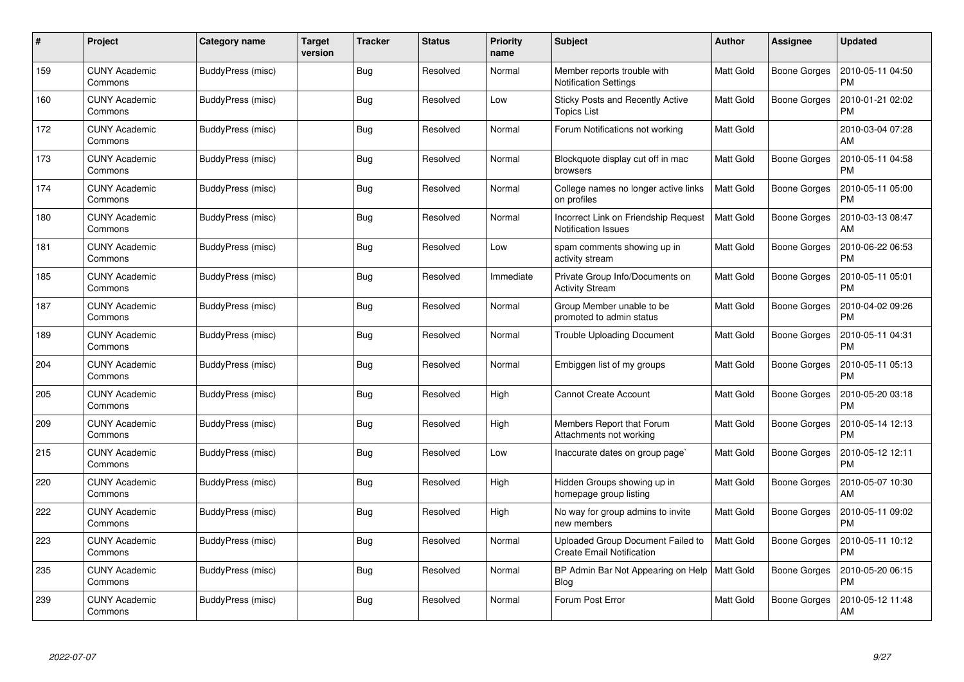| #   | Project                         | Category name     | <b>Target</b><br>version | <b>Tracker</b> | <b>Status</b> | <b>Priority</b><br>name | <b>Subject</b>                                                        | Author           | <b>Assignee</b>     | <b>Updated</b>                |
|-----|---------------------------------|-------------------|--------------------------|----------------|---------------|-------------------------|-----------------------------------------------------------------------|------------------|---------------------|-------------------------------|
| 159 | <b>CUNY Academic</b><br>Commons | BuddyPress (misc) |                          | Bug            | Resolved      | Normal                  | Member reports trouble with<br><b>Notification Settings</b>           | <b>Matt Gold</b> | Boone Gorges        | 2010-05-11 04:50<br><b>PM</b> |
| 160 | <b>CUNY Academic</b><br>Commons | BuddyPress (misc) |                          | Bug            | Resolved      | Low                     | Sticky Posts and Recently Active<br>Topics List                       | <b>Matt Gold</b> | Boone Gorges        | 2010-01-21 02:02<br><b>PM</b> |
| 172 | <b>CUNY Academic</b><br>Commons | BuddyPress (misc) |                          | Bug            | Resolved      | Normal                  | Forum Notifications not working                                       | <b>Matt Gold</b> |                     | 2010-03-04 07:28<br>AM        |
| 173 | <b>CUNY Academic</b><br>Commons | BuddyPress (misc) |                          | Bug            | Resolved      | Normal                  | Blockquote display cut off in mac<br>browsers                         | Matt Gold        | Boone Gorges        | 2010-05-11 04:58<br><b>PM</b> |
| 174 | <b>CUNY Academic</b><br>Commons | BuddyPress (misc) |                          | <b>Bug</b>     | Resolved      | Normal                  | College names no longer active links<br>on profiles                   | <b>Matt Gold</b> | <b>Boone Gorges</b> | 2010-05-11 05:00<br>PM        |
| 180 | <b>CUNY Academic</b><br>Commons | BuddyPress (misc) |                          | Bug            | Resolved      | Normal                  | Incorrect Link on Friendship Request<br><b>Notification Issues</b>    | Matt Gold        | Boone Gorges        | 2010-03-13 08:47<br>AM        |
| 181 | <b>CUNY Academic</b><br>Commons | BuddyPress (misc) |                          | <b>Bug</b>     | Resolved      | Low                     | spam comments showing up in<br>activity stream                        | <b>Matt Gold</b> | Boone Gorges        | 2010-06-22 06:53<br><b>PM</b> |
| 185 | <b>CUNY Academic</b><br>Commons | BuddyPress (misc) |                          | Bug            | Resolved      | Immediate               | Private Group Info/Documents on<br><b>Activity Stream</b>             | Matt Gold        | Boone Gorges        | 2010-05-11 05:01<br><b>PM</b> |
| 187 | <b>CUNY Academic</b><br>Commons | BuddyPress (misc) |                          | Bug            | Resolved      | Normal                  | Group Member unable to be<br>promoted to admin status                 | <b>Matt Gold</b> | Boone Gorges        | 2010-04-02 09:26<br><b>PM</b> |
| 189 | <b>CUNY Academic</b><br>Commons | BuddyPress (misc) |                          | <b>Bug</b>     | Resolved      | Normal                  | Trouble Uploading Document                                            | <b>Matt Gold</b> | Boone Gorges        | 2010-05-11 04:31<br><b>PM</b> |
| 204 | <b>CUNY Academic</b><br>Commons | BuddyPress (misc) |                          | Bug            | Resolved      | Normal                  | Embiggen list of my groups                                            | <b>Matt Gold</b> | <b>Boone Gorges</b> | 2010-05-11 05:13<br><b>PM</b> |
| 205 | <b>CUNY Academic</b><br>Commons | BuddyPress (misc) |                          | Bug            | Resolved      | High                    | <b>Cannot Create Account</b>                                          | <b>Matt Gold</b> | Boone Gorges        | 2010-05-20 03:18<br><b>PM</b> |
| 209 | <b>CUNY Academic</b><br>Commons | BuddyPress (misc) |                          | Bug            | Resolved      | High                    | Members Report that Forum<br>Attachments not working                  | <b>Matt Gold</b> | Boone Gorges        | 2010-05-14 12:13<br><b>PM</b> |
| 215 | <b>CUNY Academic</b><br>Commons | BuddyPress (misc) |                          | Bug            | Resolved      | Low                     | Inaccurate dates on group page                                        | <b>Matt Gold</b> | Boone Gorges        | 2010-05-12 12:11<br>PM        |
| 220 | <b>CUNY Academic</b><br>Commons | BuddyPress (misc) |                          | <b>Bug</b>     | Resolved      | High                    | Hidden Groups showing up in<br>homepage group listing                 | <b>Matt Gold</b> | Boone Gorges        | 2010-05-07 10:30<br>AM        |
| 222 | <b>CUNY Academic</b><br>Commons | BuddyPress (misc) |                          | Bug            | Resolved      | High                    | No way for group admins to invite<br>new members                      | <b>Matt Gold</b> | Boone Gorges        | 2010-05-11 09:02<br><b>PM</b> |
| 223 | <b>CUNY Academic</b><br>Commons | BuddyPress (misc) |                          | <b>Bug</b>     | Resolved      | Normal                  | Uploaded Group Document Failed to<br><b>Create Email Notification</b> | <b>Matt Gold</b> | Boone Gorges        | 2010-05-11 10:12<br><b>PM</b> |
| 235 | <b>CUNY Academic</b><br>Commons | BuddyPress (misc) |                          | Bug            | Resolved      | Normal                  | BP Admin Bar Not Appearing on Help<br>Blog                            | <b>Matt Gold</b> | Boone Gorges        | 2010-05-20 06:15<br><b>PM</b> |
| 239 | <b>CUNY Academic</b><br>Commons | BuddyPress (misc) |                          | <b>Bug</b>     | Resolved      | Normal                  | Forum Post Error                                                      | Matt Gold        | Boone Gorges        | 2010-05-12 11:48<br>AM        |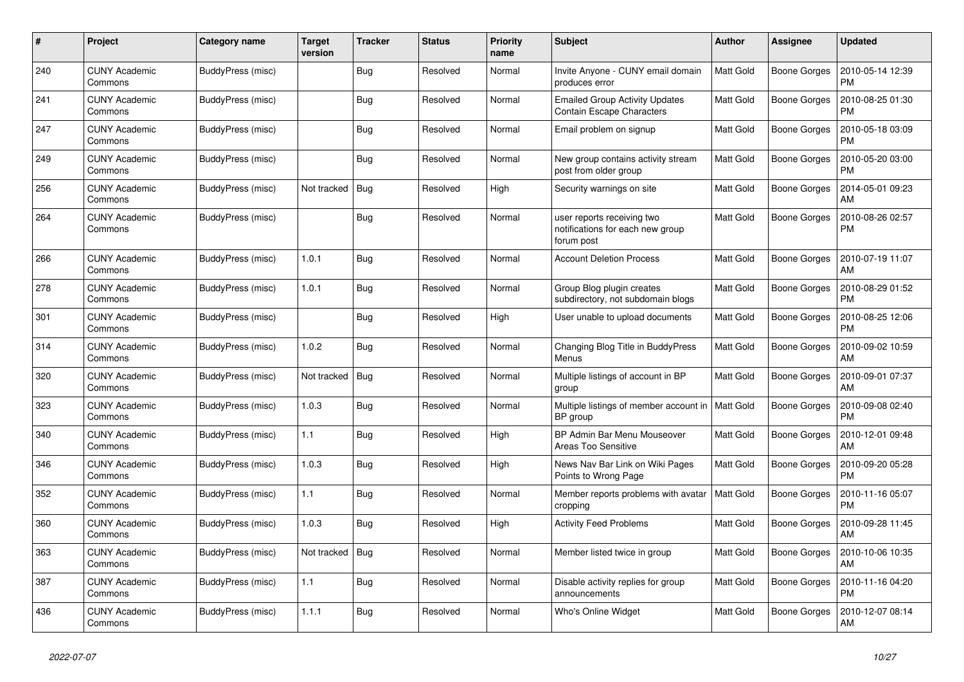| #   | Project                         | Category name     | Target<br>version | <b>Tracker</b> | <b>Status</b> | <b>Priority</b><br>name | <b>Subject</b>                                                               | <b>Author</b>    | Assignee            | <b>Updated</b>                |
|-----|---------------------------------|-------------------|-------------------|----------------|---------------|-------------------------|------------------------------------------------------------------------------|------------------|---------------------|-------------------------------|
| 240 | <b>CUNY Academic</b><br>Commons | BuddyPress (misc) |                   | <b>Bug</b>     | Resolved      | Normal                  | Invite Anyone - CUNY email domain<br>produces error                          | <b>Matt Gold</b> | Boone Gorges        | 2010-05-14 12:39<br><b>PM</b> |
| 241 | <b>CUNY Academic</b><br>Commons | BuddyPress (misc) |                   | <b>Bug</b>     | Resolved      | Normal                  | <b>Emailed Group Activity Updates</b><br><b>Contain Escape Characters</b>    | <b>Matt Gold</b> | Boone Gorges        | 2010-08-25 01:30<br><b>PM</b> |
| 247 | <b>CUNY Academic</b><br>Commons | BuddyPress (misc) |                   | <b>Bug</b>     | Resolved      | Normal                  | Email problem on signup                                                      | <b>Matt Gold</b> | Boone Gorges        | 2010-05-18 03:09<br><b>PM</b> |
| 249 | <b>CUNY Academic</b><br>Commons | BuddyPress (misc) |                   | <b>Bug</b>     | Resolved      | Normal                  | New group contains activity stream<br>post from older group                  | <b>Matt Gold</b> | Boone Gorges        | 2010-05-20 03:00<br><b>PM</b> |
| 256 | <b>CUNY Academic</b><br>Commons | BuddyPress (misc) | Not tracked       | Bug            | Resolved      | High                    | Security warnings on site                                                    | <b>Matt Gold</b> | Boone Gorges        | 2014-05-01 09:23<br>AM        |
| 264 | <b>CUNY Academic</b><br>Commons | BuddyPress (misc) |                   | Bug            | Resolved      | Normal                  | user reports receiving two<br>notifications for each new group<br>forum post | <b>Matt Gold</b> | Boone Gorges        | 2010-08-26 02:57<br><b>PM</b> |
| 266 | <b>CUNY Academic</b><br>Commons | BuddyPress (misc) | 1.0.1             | Bug            | Resolved      | Normal                  | <b>Account Deletion Process</b>                                              | <b>Matt Gold</b> | Boone Gorges        | 2010-07-19 11:07<br>AM        |
| 278 | <b>CUNY Academic</b><br>Commons | BuddyPress (misc) | 1.0.1             | Bug            | Resolved      | Normal                  | Group Blog plugin creates<br>subdirectory, not subdomain blogs               | <b>Matt Gold</b> | Boone Gorges        | 2010-08-29 01:52<br><b>PM</b> |
| 301 | <b>CUNY Academic</b><br>Commons | BuddyPress (misc) |                   | Bug            | Resolved      | High                    | User unable to upload documents                                              | <b>Matt Gold</b> | Boone Gorges        | 2010-08-25 12:06<br>PM        |
| 314 | <b>CUNY Academic</b><br>Commons | BuddyPress (misc) | 1.0.2             | Bug            | Resolved      | Normal                  | Changing Blog Title in BuddyPress<br>Menus                                   | <b>Matt Gold</b> | Boone Gorges        | 2010-09-02 10:59<br>AM        |
| 320 | <b>CUNY Academic</b><br>Commons | BuddyPress (misc) | Not tracked       | Bug            | Resolved      | Normal                  | Multiple listings of account in BP<br>group                                  | Matt Gold        | Boone Gorges        | 2010-09-01 07:37<br>AM        |
| 323 | CUNY Academic<br>Commons        | BuddyPress (misc) | 1.0.3             | Bug            | Resolved      | Normal                  | Multiple listings of member account in<br>BP group                           | <b>Matt Gold</b> | Boone Gorges        | 2010-09-08 02:40<br><b>PM</b> |
| 340 | <b>CUNY Academic</b><br>Commons | BuddyPress (misc) | 1.1               | Bug            | Resolved      | High                    | BP Admin Bar Menu Mouseover<br><b>Areas Too Sensitive</b>                    | <b>Matt Gold</b> | <b>Boone Gorges</b> | 2010-12-01 09:48<br>AM        |
| 346 | <b>CUNY Academic</b><br>Commons | BuddyPress (misc) | 1.0.3             | Bug            | Resolved      | High                    | News Nav Bar Link on Wiki Pages<br>Points to Wrong Page                      | <b>Matt Gold</b> | Boone Gorges        | 2010-09-20 05:28<br><b>PM</b> |
| 352 | <b>CUNY Academic</b><br>Commons | BuddyPress (misc) | 1.1               | Bug            | Resolved      | Normal                  | Member reports problems with avatar<br>cropping                              | <b>Matt Gold</b> | Boone Gorges        | 2010-11-16 05:07<br>PM        |
| 360 | <b>CUNY Academic</b><br>Commons | BuddyPress (misc) | 1.0.3             | <b>Bug</b>     | Resolved      | High                    | <b>Activity Feed Problems</b>                                                | Matt Gold        | Boone Gorges        | 2010-09-28 11:45<br>AM        |
| 363 | <b>CUNY Academic</b><br>Commons | BuddyPress (misc) | Not tracked       | Bug            | Resolved      | Normal                  | Member listed twice in group                                                 | <b>Matt Gold</b> | Boone Gorges        | 2010-10-06 10:35<br>AM        |
| 387 | <b>CUNY Academic</b><br>Commons | BuddyPress (misc) | 1.1               | <b>Bug</b>     | Resolved      | Normal                  | Disable activity replies for group<br>announcements                          | <b>Matt Gold</b> | Boone Gorges        | 2010-11-16 04:20<br>PM        |
| 436 | <b>CUNY Academic</b><br>Commons | BuddyPress (misc) | 1.1.1             | Bug            | Resolved      | Normal                  | Who's Online Widget                                                          | <b>Matt Gold</b> | Boone Gorges        | 2010-12-07 08:14<br>AM        |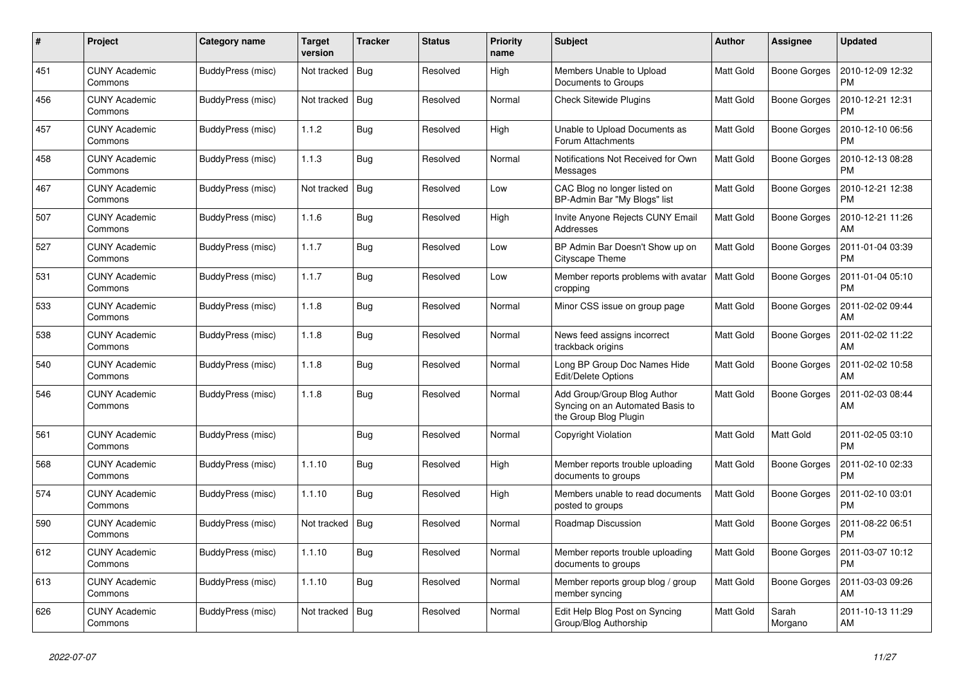| #   | Project                         | Category name            | Target<br>version | <b>Tracker</b> | <b>Status</b> | <b>Priority</b><br>name | <b>Subject</b>                                                                           | <b>Author</b>    | <b>Assignee</b>     | <b>Updated</b>                |
|-----|---------------------------------|--------------------------|-------------------|----------------|---------------|-------------------------|------------------------------------------------------------------------------------------|------------------|---------------------|-------------------------------|
| 451 | <b>CUNY Academic</b><br>Commons | BuddyPress (misc)        | Not tracked       | Bug            | Resolved      | High                    | Members Unable to Upload<br>Documents to Groups                                          | <b>Matt Gold</b> | Boone Gorges        | 2010-12-09 12:32<br><b>PM</b> |
| 456 | <b>CUNY Academic</b><br>Commons | BuddyPress (misc)        | Not tracked       | Bug            | Resolved      | Normal                  | <b>Check Sitewide Plugins</b>                                                            | Matt Gold        | <b>Boone Gorges</b> | 2010-12-21 12:31<br><b>PM</b> |
| 457 | <b>CUNY Academic</b><br>Commons | BuddyPress (misc)        | 1.1.2             | Bug            | Resolved      | High                    | Unable to Upload Documents as<br>Forum Attachments                                       | Matt Gold        | Boone Gorges        | 2010-12-10 06:56<br><b>PM</b> |
| 458 | <b>CUNY Academic</b><br>Commons | BuddyPress (misc)        | 1.1.3             | <b>Bug</b>     | Resolved      | Normal                  | Notifications Not Received for Own<br>Messages                                           | <b>Matt Gold</b> | Boone Gorges        | 2010-12-13 08:28<br><b>PM</b> |
| 467 | <b>CUNY Academic</b><br>Commons | <b>BuddyPress (misc)</b> | Not tracked       | Bug            | Resolved      | Low                     | CAC Blog no longer listed on<br>BP-Admin Bar "My Blogs" list                             | Matt Gold        | Boone Gorges        | 2010-12-21 12:38<br><b>PM</b> |
| 507 | <b>CUNY Academic</b><br>Commons | BuddyPress (misc)        | 1.1.6             | <b>Bug</b>     | Resolved      | High                    | Invite Anyone Rejects CUNY Email<br>Addresses                                            | <b>Matt Gold</b> | Boone Gorges        | 2010-12-21 11:26<br>AM        |
| 527 | <b>CUNY Academic</b><br>Commons | BuddyPress (misc)        | 1.1.7             | Bug            | Resolved      | Low                     | BP Admin Bar Doesn't Show up on<br>Cityscape Theme                                       | <b>Matt Gold</b> | Boone Gorges        | 2011-01-04 03:39<br><b>PM</b> |
| 531 | <b>CUNY Academic</b><br>Commons | BuddyPress (misc)        | 1.1.7             | Bug            | Resolved      | Low                     | Member reports problems with avatar<br>cropping                                          | <b>Matt Gold</b> | <b>Boone Gorges</b> | 2011-01-04 05:10<br><b>PM</b> |
| 533 | <b>CUNY Academic</b><br>Commons | BuddyPress (misc)        | 1.1.8             | <b>Bug</b>     | Resolved      | Normal                  | Minor CSS issue on group page                                                            | <b>Matt Gold</b> | <b>Boone Gorges</b> | 2011-02-02 09:44<br>AM        |
| 538 | <b>CUNY Academic</b><br>Commons | BuddyPress (misc)        | 1.1.8             | Bug            | Resolved      | Normal                  | News feed assigns incorrect<br>trackback origins                                         | <b>Matt Gold</b> | Boone Gorges        | 2011-02-02 11:22<br>AM        |
| 540 | <b>CUNY Academic</b><br>Commons | BuddyPress (misc)        | 1.1.8             | Bug            | Resolved      | Normal                  | Long BP Group Doc Names Hide<br>Edit/Delete Options                                      | <b>Matt Gold</b> | Boone Gorges        | 2011-02-02 10:58<br>AM        |
| 546 | <b>CUNY Academic</b><br>Commons | BuddyPress (misc)        | 1.1.8             | Bug            | Resolved      | Normal                  | Add Group/Group Blog Author<br>Syncing on an Automated Basis to<br>the Group Blog Plugin | <b>Matt Gold</b> | <b>Boone Gorges</b> | 2011-02-03 08:44<br>AM        |
| 561 | CUNY Academic<br>Commons        | BuddyPress (misc)        |                   | Bug            | Resolved      | Normal                  | Copyright Violation                                                                      | <b>Matt Gold</b> | Matt Gold           | 2011-02-05 03:10<br><b>PM</b> |
| 568 | CUNY Academic<br>Commons        | BuddyPress (misc)        | 1.1.10            | Bug            | Resolved      | High                    | Member reports trouble uploading<br>documents to groups                                  | <b>Matt Gold</b> | Boone Gorges        | 2011-02-10 02:33<br><b>PM</b> |
| 574 | <b>CUNY Academic</b><br>Commons | BuddyPress (misc)        | 1.1.10            | <b>Bug</b>     | Resolved      | High                    | Members unable to read documents<br>posted to groups                                     | <b>Matt Gold</b> | Boone Gorges        | 2011-02-10 03:01<br><b>PM</b> |
| 590 | <b>CUNY Academic</b><br>Commons | BuddyPress (misc)        | Not tracked       | Bug            | Resolved      | Normal                  | Roadmap Discussion                                                                       | <b>Matt Gold</b> | Boone Gorges        | 2011-08-22 06:51<br><b>PM</b> |
| 612 | <b>CUNY Academic</b><br>Commons | BuddyPress (misc)        | 1.1.10            | <b>Bug</b>     | Resolved      | Normal                  | Member reports trouble uploading<br>documents to groups                                  | Matt Gold        | Boone Gorges        | 2011-03-07 10:12<br><b>PM</b> |
| 613 | <b>CUNY Academic</b><br>Commons | BuddyPress (misc)        | 1.1.10            | Bug            | Resolved      | Normal                  | Member reports group blog / group<br>member syncing                                      | <b>Matt Gold</b> | Boone Gorges        | 2011-03-03 09:26<br>AM        |
| 626 | <b>CUNY Academic</b><br>Commons | BuddyPress (misc)        | Not tracked   Bug |                | Resolved      | Normal                  | Edit Help Blog Post on Syncing<br>Group/Blog Authorship                                  | <b>Matt Gold</b> | Sarah<br>Morgano    | 2011-10-13 11:29<br>AM        |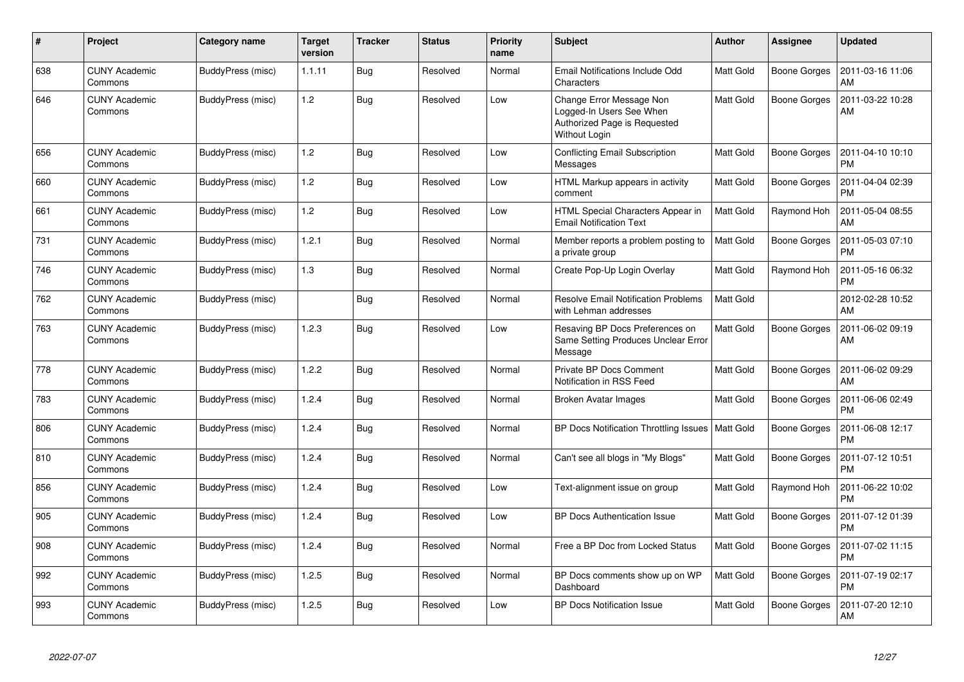| #   | <b>Project</b>                  | <b>Category name</b> | <b>Target</b><br>version | <b>Tracker</b> | <b>Status</b> | <b>Priority</b><br>name | <b>Subject</b>                                                                                        | <b>Author</b>    | <b>Assignee</b>     | <b>Updated</b>                |
|-----|---------------------------------|----------------------|--------------------------|----------------|---------------|-------------------------|-------------------------------------------------------------------------------------------------------|------------------|---------------------|-------------------------------|
| 638 | <b>CUNY Academic</b><br>Commons | BuddyPress (misc)    | 1.1.11                   | <b>Bug</b>     | Resolved      | Normal                  | Email Notifications Include Odd<br>Characters                                                         | Matt Gold        | <b>Boone Gorges</b> | 2011-03-16 11:06<br>AM        |
| 646 | <b>CUNY Academic</b><br>Commons | BuddyPress (misc)    | 1.2                      | Bug            | Resolved      | Low                     | Change Error Message Non<br>Logged-In Users See When<br>Authorized Page is Requested<br>Without Login | Matt Gold        | <b>Boone Gorges</b> | 2011-03-22 10:28<br>AM        |
| 656 | <b>CUNY Academic</b><br>Commons | BuddyPress (misc)    | 1.2                      | <b>Bug</b>     | Resolved      | Low                     | <b>Conflicting Email Subscription</b><br>Messages                                                     | <b>Matt Gold</b> | <b>Boone Gorges</b> | 2011-04-10 10:10<br><b>PM</b> |
| 660 | <b>CUNY Academic</b><br>Commons | BuddyPress (misc)    | 1.2                      | Bug            | Resolved      | Low                     | HTML Markup appears in activity<br>comment                                                            | <b>Matt Gold</b> | Boone Gorges        | 2011-04-04 02:39<br><b>PM</b> |
| 661 | <b>CUNY Academic</b><br>Commons | BuddyPress (misc)    | 1.2                      | Bug            | Resolved      | Low                     | HTML Special Characters Appear in<br><b>Email Notification Text</b>                                   | Matt Gold        | Raymond Hoh         | 2011-05-04 08:55<br>AM        |
| 731 | <b>CUNY Academic</b><br>Commons | BuddyPress (misc)    | 1.2.1                    | Bug            | Resolved      | Normal                  | Member reports a problem posting to<br>a private group                                                | <b>Matt Gold</b> | <b>Boone Gorges</b> | 2011-05-03 07:10<br><b>PM</b> |
| 746 | <b>CUNY Academic</b><br>Commons | BuddyPress (misc)    | 1.3                      | Bug            | Resolved      | Normal                  | Create Pop-Up Login Overlay                                                                           | <b>Matt Gold</b> | Raymond Hoh         | 2011-05-16 06:32<br><b>PM</b> |
| 762 | <b>CUNY Academic</b><br>Commons | BuddyPress (misc)    |                          | Bug            | Resolved      | Normal                  | <b>Resolve Email Notification Problems</b><br>with Lehman addresses                                   | <b>Matt Gold</b> |                     | 2012-02-28 10:52<br>AM        |
| 763 | <b>CUNY Academic</b><br>Commons | BuddyPress (misc)    | 1.2.3                    | Bug            | Resolved      | Low                     | Resaving BP Docs Preferences on<br>Same Setting Produces Unclear Error<br>Message                     | <b>Matt Gold</b> | <b>Boone Gorges</b> | 2011-06-02 09:19<br>AM        |
| 778 | <b>CUNY Academic</b><br>Commons | BuddyPress (misc)    | 1.2.2                    | Bug            | Resolved      | Normal                  | Private BP Docs Comment<br>Notification in RSS Feed                                                   | <b>Matt Gold</b> | <b>Boone Gorges</b> | 2011-06-02 09:29<br>AM        |
| 783 | <b>CUNY Academic</b><br>Commons | BuddyPress (misc)    | 1.2.4                    | Bug            | Resolved      | Normal                  | <b>Broken Avatar Images</b>                                                                           | <b>Matt Gold</b> | <b>Boone Gorges</b> | 2011-06-06 02:49<br><b>PM</b> |
| 806 | <b>CUNY Academic</b><br>Commons | BuddyPress (misc)    | 1.2.4                    | Bug            | Resolved      | Normal                  | BP Docs Notification Throttling Issues                                                                | <b>Matt Gold</b> | Boone Gorges        | 2011-06-08 12:17<br><b>PM</b> |
| 810 | <b>CUNY Academic</b><br>Commons | BuddyPress (misc)    | 1.2.4                    | Bug            | Resolved      | Normal                  | Can't see all blogs in "My Blogs"                                                                     | Matt Gold        | <b>Boone Gorges</b> | 2011-07-12 10:51<br><b>PM</b> |
| 856 | <b>CUNY Academic</b><br>Commons | BuddyPress (misc)    | 1.2.4                    | Bug            | Resolved      | Low                     | Text-alignment issue on group                                                                         | <b>Matt Gold</b> | Raymond Hoh         | 2011-06-22 10:02<br><b>PM</b> |
| 905 | <b>CUNY Academic</b><br>Commons | BuddyPress (misc)    | 1.2.4                    | Bug            | Resolved      | Low                     | <b>BP Docs Authentication Issue</b>                                                                   | Matt Gold        | Boone Gorges        | 2011-07-12 01:39<br><b>PM</b> |
| 908 | <b>CUNY Academic</b><br>Commons | BuddyPress (misc)    | 1.2.4                    | <b>Bug</b>     | Resolved      | Normal                  | Free a BP Doc from Locked Status                                                                      | <b>Matt Gold</b> | Boone Gorges        | 2011-07-02 11:15<br><b>PM</b> |
| 992 | <b>CUNY Academic</b><br>Commons | BuddyPress (misc)    | 1.2.5                    | <b>Bug</b>     | Resolved      | Normal                  | BP Docs comments show up on WP<br>Dashboard                                                           | <b>Matt Gold</b> | <b>Boone Gorges</b> | 2011-07-19 02:17<br><b>PM</b> |
| 993 | CUNY Academic<br>Commons        | BuddyPress (misc)    | 1.2.5                    | Bug            | Resolved      | Low                     | <b>BP Docs Notification Issue</b>                                                                     | <b>Matt Gold</b> | Boone Gorges        | 2011-07-20 12:10<br><b>AM</b> |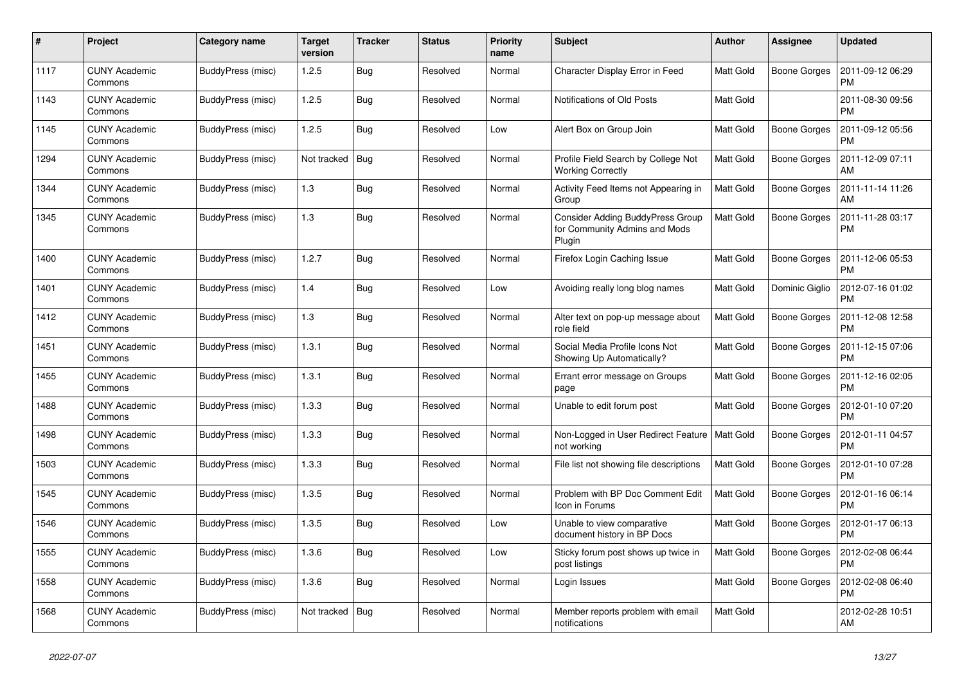| #    | Project                         | Category name     | Target<br>version | <b>Tracker</b> | <b>Status</b> | <b>Priority</b><br>name | <b>Subject</b>                                                                     | <b>Author</b>    | Assignee            | <b>Updated</b>                |
|------|---------------------------------|-------------------|-------------------|----------------|---------------|-------------------------|------------------------------------------------------------------------------------|------------------|---------------------|-------------------------------|
| 1117 | <b>CUNY Academic</b><br>Commons | BuddyPress (misc) | 1.2.5             | <b>Bug</b>     | Resolved      | Normal                  | Character Display Error in Feed                                                    | <b>Matt Gold</b> | Boone Gorges        | 2011-09-12 06:29<br><b>PM</b> |
| 1143 | <b>CUNY Academic</b><br>Commons | BuddyPress (misc) | 1.2.5             | Bug            | Resolved      | Normal                  | Notifications of Old Posts                                                         | Matt Gold        |                     | 2011-08-30 09:56<br><b>PM</b> |
| 1145 | <b>CUNY Academic</b><br>Commons | BuddyPress (misc) | 1.2.5             | <b>Bug</b>     | Resolved      | Low                     | Alert Box on Group Join                                                            | <b>Matt Gold</b> | Boone Gorges        | 2011-09-12 05:56<br><b>PM</b> |
| 1294 | <b>CUNY Academic</b><br>Commons | BuddyPress (misc) | Not tracked       | Bug            | Resolved      | Normal                  | Profile Field Search by College Not<br><b>Working Correctly</b>                    | <b>Matt Gold</b> | Boone Gorges        | 2011-12-09 07:11<br>AM        |
| 1344 | <b>CUNY Academic</b><br>Commons | BuddyPress (misc) | 1.3               | Bug            | Resolved      | Normal                  | Activity Feed Items not Appearing in<br>Group                                      | Matt Gold        | Boone Gorges        | 2011-11-14 11:26<br>AM        |
| 1345 | <b>CUNY Academic</b><br>Commons | BuddyPress (misc) | 1.3               | Bug            | Resolved      | Normal                  | <b>Consider Adding BuddyPress Group</b><br>for Community Admins and Mods<br>Plugin | <b>Matt Gold</b> | Boone Gorges        | 2011-11-28 03:17<br><b>PM</b> |
| 1400 | <b>CUNY Academic</b><br>Commons | BuddyPress (misc) | 1.2.7             | <b>Bug</b>     | Resolved      | Normal                  | Firefox Login Caching Issue                                                        | Matt Gold        | Boone Gorges        | 2011-12-06 05:53<br><b>PM</b> |
| 1401 | <b>CUNY Academic</b><br>Commons | BuddyPress (misc) | 1.4               | Bug            | Resolved      | Low                     | Avoiding really long blog names                                                    | Matt Gold        | Dominic Giglio      | 2012-07-16 01:02<br><b>PM</b> |
| 1412 | <b>CUNY Academic</b><br>Commons | BuddyPress (misc) | 1.3               | <b>Bug</b>     | Resolved      | Normal                  | Alter text on pop-up message about<br>role field                                   | <b>Matt Gold</b> | Boone Gorges        | 2011-12-08 12:58<br><b>PM</b> |
| 1451 | <b>CUNY Academic</b><br>Commons | BuddyPress (misc) | 1.3.1             | Bug            | Resolved      | Normal                  | Social Media Profile Icons Not<br>Showing Up Automatically?                        | <b>Matt Gold</b> | Boone Gorges        | 2011-12-15 07:06<br><b>PM</b> |
| 1455 | <b>CUNY Academic</b><br>Commons | BuddyPress (misc) | 1.3.1             | Bug            | Resolved      | Normal                  | Errant error message on Groups<br>page                                             | <b>Matt Gold</b> | Boone Gorges        | 2011-12-16 02:05<br><b>PM</b> |
| 1488 | <b>CUNY Academic</b><br>Commons | BuddyPress (misc) | 1.3.3             | Bug            | Resolved      | Normal                  | Unable to edit forum post                                                          | <b>Matt Gold</b> | Boone Gorges        | 2012-01-10 07:20<br><b>PM</b> |
| 1498 | <b>CUNY Academic</b><br>Commons | BuddyPress (misc) | 1.3.3             | Bug            | Resolved      | Normal                  | Non-Logged in User Redirect Feature<br>not working                                 | <b>Matt Gold</b> | Boone Gorges        | 2012-01-11 04:57<br><b>PM</b> |
| 1503 | <b>CUNY Academic</b><br>Commons | BuddyPress (misc) | 1.3.3             | Bug            | Resolved      | Normal                  | File list not showing file descriptions                                            | Matt Gold        | Boone Gorges        | 2012-01-10 07:28<br><b>PM</b> |
| 1545 | <b>CUNY Academic</b><br>Commons | BuddyPress (misc) | 1.3.5             | <b>Bug</b>     | Resolved      | Normal                  | Problem with BP Doc Comment Edit<br>Icon in Forums                                 | <b>Matt Gold</b> | <b>Boone Gorges</b> | 2012-01-16 06:14<br><b>PM</b> |
| 1546 | <b>CUNY Academic</b><br>Commons | BuddyPress (misc) | 1.3.5             | Bug            | Resolved      | Low                     | Unable to view comparative<br>document history in BP Docs                          | <b>Matt Gold</b> | Boone Gorges        | 2012-01-17 06:13<br><b>PM</b> |
| 1555 | <b>CUNY Academic</b><br>Commons | BuddyPress (misc) | 1.3.6             | <b>Bug</b>     | Resolved      | Low                     | Sticky forum post shows up twice in<br>post listings                               | <b>Matt Gold</b> | Boone Gorges        | 2012-02-08 06:44<br><b>PM</b> |
| 1558 | <b>CUNY Academic</b><br>Commons | BuddyPress (misc) | 1.3.6             | Bug            | Resolved      | Normal                  | Login Issues                                                                       | <b>Matt Gold</b> | Boone Gorges        | 2012-02-08 06:40<br><b>PM</b> |
| 1568 | <b>CUNY Academic</b><br>Commons | BuddyPress (misc) | Not tracked       | Bug            | Resolved      | Normal                  | Member reports problem with email<br>notifications                                 | <b>Matt Gold</b> |                     | 2012-02-28 10:51<br>AM        |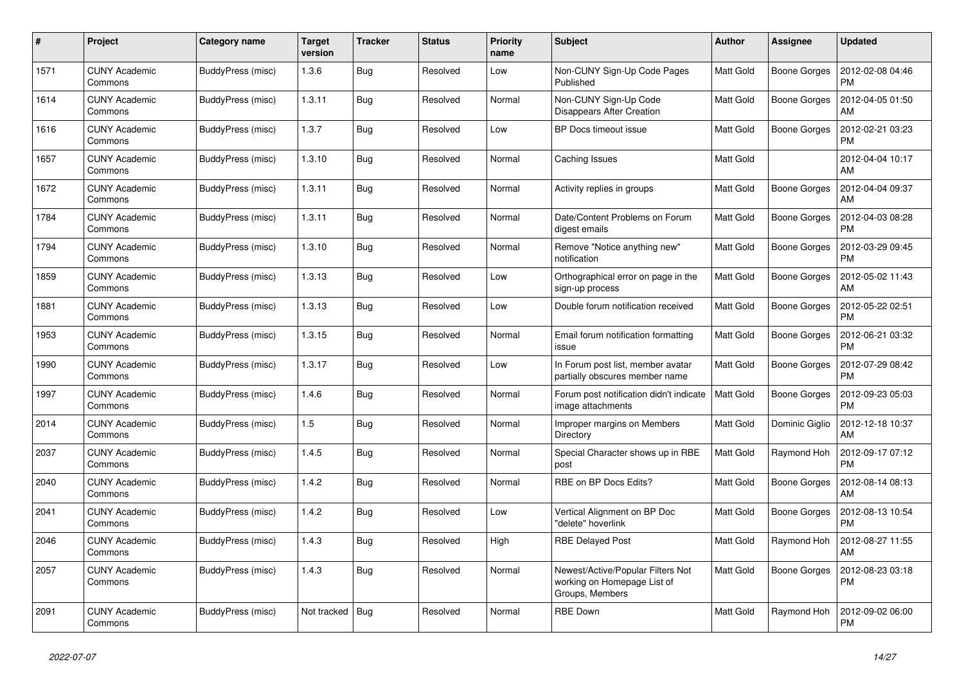| #    | Project                         | Category name     | Target<br>version | <b>Tracker</b> | <b>Status</b> | <b>Priority</b><br>name | <b>Subject</b>                                                                      | <b>Author</b>    | <b>Assignee</b> | <b>Updated</b>                |
|------|---------------------------------|-------------------|-------------------|----------------|---------------|-------------------------|-------------------------------------------------------------------------------------|------------------|-----------------|-------------------------------|
| 1571 | <b>CUNY Academic</b><br>Commons | BuddyPress (misc) | 1.3.6             | <b>Bug</b>     | Resolved      | Low                     | Non-CUNY Sign-Up Code Pages<br>Published                                            | <b>Matt Gold</b> | Boone Gorges    | 2012-02-08 04:46<br><b>PM</b> |
| 1614 | <b>CUNY Academic</b><br>Commons | BuddyPress (misc) | 1.3.11            | <b>Bug</b>     | Resolved      | Normal                  | Non-CUNY Sign-Up Code<br>Disappears After Creation                                  | <b>Matt Gold</b> | Boone Gorges    | 2012-04-05 01:50<br>AM        |
| 1616 | <b>CUNY Academic</b><br>Commons | BuddyPress (misc) | 1.3.7             | Bug            | Resolved      | Low                     | BP Docs timeout issue                                                               | <b>Matt Gold</b> | Boone Gorges    | 2012-02-21 03:23<br><b>PM</b> |
| 1657 | <b>CUNY Academic</b><br>Commons | BuddyPress (misc) | 1.3.10            | Bug            | Resolved      | Normal                  | Caching Issues                                                                      | <b>Matt Gold</b> |                 | 2012-04-04 10:17<br>AM        |
| 1672 | <b>CUNY Academic</b><br>Commons | BuddyPress (misc) | 1.3.11            | Bug            | Resolved      | Normal                  | Activity replies in groups                                                          | Matt Gold        | Boone Gorges    | 2012-04-04 09:37<br>AM        |
| 1784 | <b>CUNY Academic</b><br>Commons | BuddyPress (misc) | 1.3.11            | Bug            | Resolved      | Normal                  | Date/Content Problems on Forum<br>digest emails                                     | <b>Matt Gold</b> | Boone Gorges    | 2012-04-03 08:28<br><b>PM</b> |
| 1794 | <b>CUNY Academic</b><br>Commons | BuddyPress (misc) | 1.3.10            | <b>Bug</b>     | Resolved      | Normal                  | Remove "Notice anything new"<br>notification                                        | <b>Matt Gold</b> | Boone Gorges    | 2012-03-29 09:45<br><b>PM</b> |
| 1859 | <b>CUNY Academic</b><br>Commons | BuddyPress (misc) | 1.3.13            | Bug            | Resolved      | Low                     | Orthographical error on page in the<br>sign-up process                              | <b>Matt Gold</b> | Boone Gorges    | 2012-05-02 11:43<br>AM        |
| 1881 | <b>CUNY Academic</b><br>Commons | BuddyPress (misc) | 1.3.13            | Bug            | Resolved      | Low                     | Double forum notification received                                                  | <b>Matt Gold</b> | Boone Gorges    | 2012-05-22 02:51<br><b>PM</b> |
| 1953 | <b>CUNY Academic</b><br>Commons | BuddyPress (misc) | 1.3.15            | Bug            | Resolved      | Normal                  | Email forum notification formatting<br>issue                                        | <b>Matt Gold</b> | Boone Gorges    | 2012-06-21 03:32<br><b>PM</b> |
| 1990 | <b>CUNY Academic</b><br>Commons | BuddyPress (misc) | 1.3.17            | <b>Bug</b>     | Resolved      | Low                     | In Forum post list, member avatar<br>partially obscures member name                 | Matt Gold        | Boone Gorges    | 2012-07-29 08:42<br><b>PM</b> |
| 1997 | <b>CUNY Academic</b><br>Commons | BuddyPress (misc) | 1.4.6             | Bug            | Resolved      | Normal                  | Forum post notification didn't indicate<br>image attachments                        | Matt Gold        | Boone Gorges    | 2012-09-23 05:03<br><b>PM</b> |
| 2014 | <b>CUNY Academic</b><br>Commons | BuddyPress (misc) | 1.5               | <b>Bug</b>     | Resolved      | Normal                  | Improper margins on Members<br>Directory                                            | <b>Matt Gold</b> | Dominic Giglio  | 2012-12-18 10:37<br>AM        |
| 2037 | <b>CUNY Academic</b><br>Commons | BuddyPress (misc) | 1.4.5             | <b>Bug</b>     | Resolved      | Normal                  | Special Character shows up in RBE<br>post                                           | <b>Matt Gold</b> | Raymond Hoh     | 2012-09-17 07:12<br><b>PM</b> |
| 2040 | <b>CUNY Academic</b><br>Commons | BuddyPress (misc) | 1.4.2             | <b>Bug</b>     | Resolved      | Normal                  | RBE on BP Docs Edits?                                                               | <b>Matt Gold</b> | Boone Gorges    | 2012-08-14 08:13<br>AM        |
| 2041 | <b>CUNY Academic</b><br>Commons | BuddyPress (misc) | 1.4.2             | <b>Bug</b>     | Resolved      | Low                     | Vertical Alignment on BP Doc<br>"delete" hoverlink                                  | <b>Matt Gold</b> | Boone Gorges    | 2012-08-13 10:54<br><b>PM</b> |
| 2046 | <b>CUNY Academic</b><br>Commons | BuddyPress (misc) | 1.4.3             | <b>Bug</b>     | Resolved      | High                    | <b>RBE Delayed Post</b>                                                             | <b>Matt Gold</b> | Raymond Hoh     | 2012-08-27 11:55<br>AM        |
| 2057 | <b>CUNY Academic</b><br>Commons | BuddyPress (misc) | 1.4.3             | Bug            | Resolved      | Normal                  | Newest/Active/Popular Filters Not<br>working on Homepage List of<br>Groups, Members | <b>Matt Gold</b> | Boone Gorges    | 2012-08-23 03:18<br><b>PM</b> |
| 2091 | <b>CUNY Academic</b><br>Commons | BuddyPress (misc) | Not tracked       | Bug            | Resolved      | Normal                  | <b>RBE Down</b>                                                                     | Matt Gold        | Raymond Hoh     | 2012-09-02 06:00<br><b>PM</b> |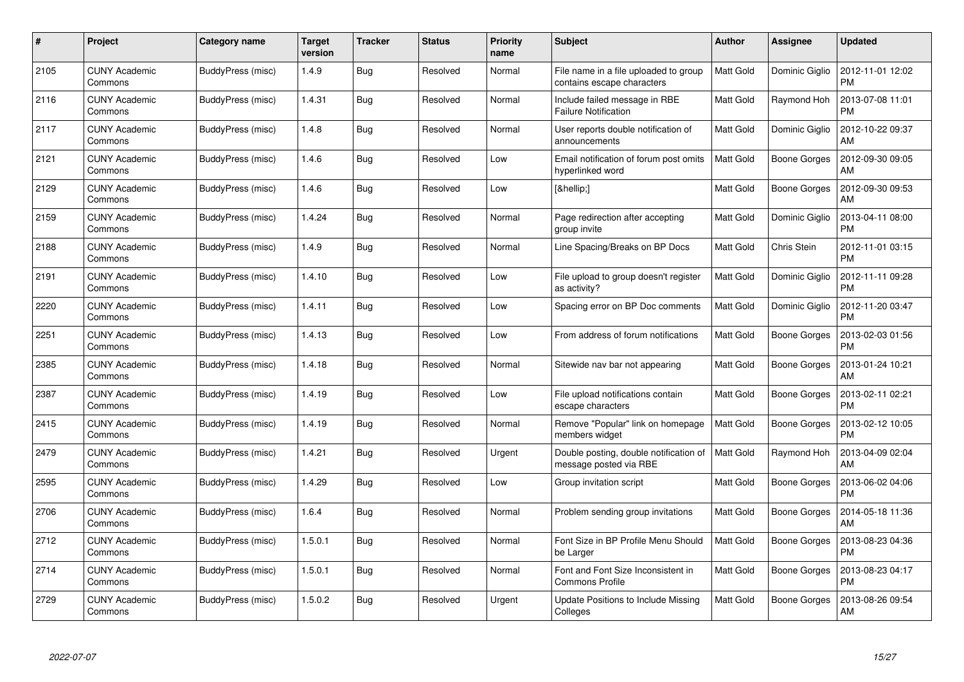| #    | Project                         | Category name     | Target<br>version | <b>Tracker</b> | <b>Status</b> | <b>Priority</b><br>name | <b>Subject</b>                                                      | <b>Author</b>    | Assignee       | <b>Updated</b>                |
|------|---------------------------------|-------------------|-------------------|----------------|---------------|-------------------------|---------------------------------------------------------------------|------------------|----------------|-------------------------------|
| 2105 | <b>CUNY Academic</b><br>Commons | BuddyPress (misc) | 1.4.9             | <b>Bug</b>     | Resolved      | Normal                  | File name in a file uploaded to group<br>contains escape characters | <b>Matt Gold</b> | Dominic Giglio | 2012-11-01 12:02<br><b>PM</b> |
| 2116 | <b>CUNY Academic</b><br>Commons | BuddyPress (misc) | 1.4.31            | Bug            | Resolved      | Normal                  | Include failed message in RBE<br><b>Failure Notification</b>        | <b>Matt Gold</b> | Raymond Hoh    | 2013-07-08 11:01<br><b>PM</b> |
| 2117 | <b>CUNY Academic</b><br>Commons | BuddyPress (misc) | 1.4.8             | Bug            | Resolved      | Normal                  | User reports double notification of<br>announcements                | <b>Matt Gold</b> | Dominic Giglio | 2012-10-22 09:37<br>AM        |
| 2121 | <b>CUNY Academic</b><br>Commons | BuddyPress (misc) | 1.4.6             | <b>Bug</b>     | Resolved      | Low                     | Email notification of forum post omits<br>hyperlinked word          | Matt Gold        | Boone Gorges   | 2012-09-30 09:05<br>AM        |
| 2129 | <b>CUNY Academic</b><br>Commons | BuddyPress (misc) | 1.4.6             | Bug            | Resolved      | Low                     | […]                                                                 | <b>Matt Gold</b> | Boone Gorges   | 2012-09-30 09:53<br>AM        |
| 2159 | <b>CUNY Academic</b><br>Commons | BuddyPress (misc) | 1.4.24            | Bug            | Resolved      | Normal                  | Page redirection after accepting<br>group invite                    | <b>Matt Gold</b> | Dominic Giglio | 2013-04-11 08:00<br><b>PM</b> |
| 2188 | <b>CUNY Academic</b><br>Commons | BuddyPress (misc) | 1.4.9             | Bug            | Resolved      | Normal                  | Line Spacing/Breaks on BP Docs                                      | <b>Matt Gold</b> | Chris Stein    | 2012-11-01 03:15<br><b>PM</b> |
| 2191 | <b>CUNY Academic</b><br>Commons | BuddyPress (misc) | 1.4.10            | Bug            | Resolved      | Low                     | File upload to group doesn't register<br>as activity?               | Matt Gold        | Dominic Giglio | 2012-11-11 09:28<br><b>PM</b> |
| 2220 | <b>CUNY Academic</b><br>Commons | BuddyPress (misc) | 1.4.11            | Bug            | Resolved      | Low                     | Spacing error on BP Doc comments                                    | <b>Matt Gold</b> | Dominic Giglio | 2012-11-20 03:47<br><b>PM</b> |
| 2251 | <b>CUNY Academic</b><br>Commons | BuddyPress (misc) | 1.4.13            | Bug            | Resolved      | Low                     | From address of forum notifications                                 | <b>Matt Gold</b> | Boone Gorges   | 2013-02-03 01:56<br><b>PM</b> |
| 2385 | <b>CUNY Academic</b><br>Commons | BuddyPress (misc) | 1.4.18            | <b>Bug</b>     | Resolved      | Normal                  | Sitewide nav bar not appearing                                      | Matt Gold        | Boone Gorges   | 2013-01-24 10:21<br>AM        |
| 2387 | <b>CUNY Academic</b><br>Commons | BuddyPress (misc) | 1.4.19            | <b>Bug</b>     | Resolved      | Low                     | File upload notifications contain<br>escape characters              | <b>Matt Gold</b> | Boone Gorges   | 2013-02-11 02:21<br><b>PM</b> |
| 2415 | <b>CUNY Academic</b><br>Commons | BuddyPress (misc) | 1.4.19            | Bug            | Resolved      | Normal                  | Remove "Popular" link on homepage<br>members widget                 | <b>Matt Gold</b> | Boone Gorges   | 2013-02-12 10:05<br><b>PM</b> |
| 2479 | <b>CUNY Academic</b><br>Commons | BuddyPress (misc) | 1.4.21            | Bug            | Resolved      | Urgent                  | Double posting, double notification of<br>message posted via RBE    | Matt Gold        | Raymond Hoh    | 2013-04-09 02:04<br>AM        |
| 2595 | <b>CUNY Academic</b><br>Commons | BuddyPress (misc) | 1.4.29            | <b>Bug</b>     | Resolved      | Low                     | Group invitation script                                             | Matt Gold        | Boone Gorges   | 2013-06-02 04:06<br><b>PM</b> |
| 2706 | <b>CUNY Academic</b><br>Commons | BuddyPress (misc) | 1.6.4             | <b>Bug</b>     | Resolved      | Normal                  | Problem sending group invitations                                   | <b>Matt Gold</b> | Boone Gorges   | 2014-05-18 11:36<br>AM        |
| 2712 | <b>CUNY Academic</b><br>Commons | BuddyPress (misc) | 1.5.0.1           | Bug            | Resolved      | Normal                  | Font Size in BP Profile Menu Should<br>be Larger                    | <b>Matt Gold</b> | Boone Gorges   | 2013-08-23 04:36<br><b>PM</b> |
| 2714 | <b>CUNY Academic</b><br>Commons | BuddyPress (misc) | 1.5.0.1           | <b>Bug</b>     | Resolved      | Normal                  | Font and Font Size Inconsistent in<br><b>Commons Profile</b>        | Matt Gold        | Boone Gorges   | 2013-08-23 04:17<br><b>PM</b> |
| 2729 | CUNY Academic<br>Commons        | BuddyPress (misc) | 1.5.0.2           | <b>Bug</b>     | Resolved      | Urgent                  | Update Positions to Include Missing<br>Colleges                     | <b>Matt Gold</b> | Boone Gorges   | 2013-08-26 09:54<br>AM        |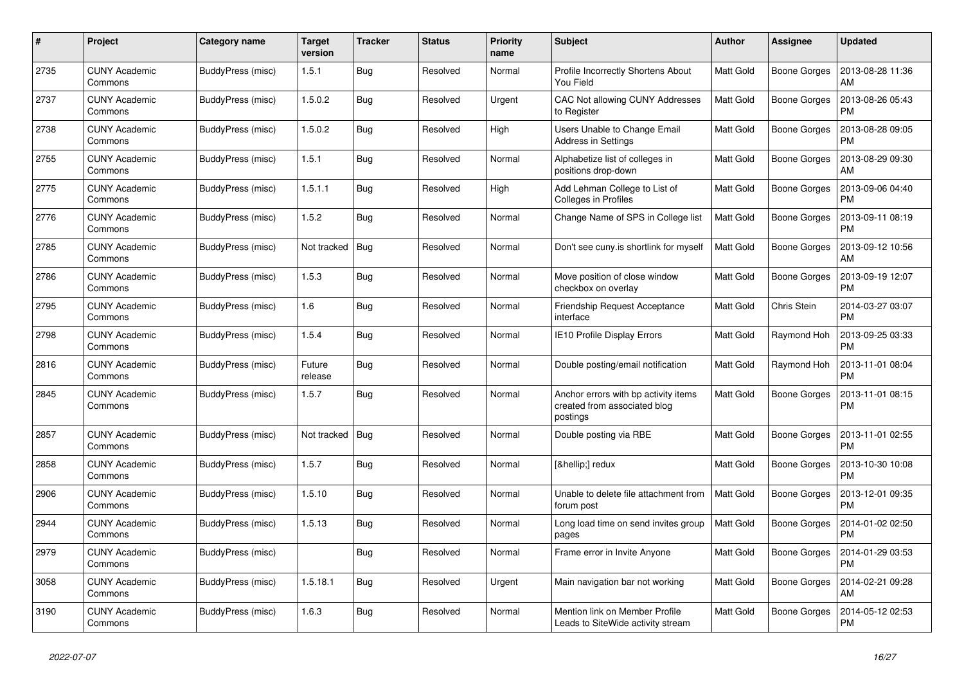| #    | Project                         | Category name     | <b>Target</b><br>version | <b>Tracker</b> | <b>Status</b> | <b>Priority</b><br>name | <b>Subject</b>                                                                   | Author           | <b>Assignee</b>     | <b>Updated</b>                |
|------|---------------------------------|-------------------|--------------------------|----------------|---------------|-------------------------|----------------------------------------------------------------------------------|------------------|---------------------|-------------------------------|
| 2735 | <b>CUNY Academic</b><br>Commons | BuddyPress (misc) | 1.5.1                    | Bug            | Resolved      | Normal                  | Profile Incorrectly Shortens About<br>You Field                                  | <b>Matt Gold</b> | Boone Gorges        | 2013-08-28 11:36<br>AM        |
| 2737 | <b>CUNY Academic</b><br>Commons | BuddyPress (misc) | 1.5.0.2                  | <b>Bug</b>     | Resolved      | Urgent                  | CAC Not allowing CUNY Addresses<br>to Register                                   | Matt Gold        | <b>Boone Gorges</b> | 2013-08-26 05:43<br><b>PM</b> |
| 2738 | <b>CUNY Academic</b><br>Commons | BuddyPress (misc) | 1.5.0.2                  | Bug            | Resolved      | High                    | Users Unable to Change Email<br><b>Address in Settings</b>                       | <b>Matt Gold</b> | Boone Gorges        | 2013-08-28 09:05<br><b>PM</b> |
| 2755 | <b>CUNY Academic</b><br>Commons | BuddyPress (misc) | 1.5.1                    | <b>Bug</b>     | Resolved      | Normal                  | Alphabetize list of colleges in<br>positions drop-down                           | <b>Matt Gold</b> | Boone Gorges        | 2013-08-29 09:30<br>AM        |
| 2775 | <b>CUNY Academic</b><br>Commons | BuddyPress (misc) | 1.5.1.1                  | Bug            | Resolved      | High                    | Add Lehman College to List of<br>Colleges in Profiles                            | <b>Matt Gold</b> | Boone Gorges        | 2013-09-06 04:40<br><b>PM</b> |
| 2776 | <b>CUNY Academic</b><br>Commons | BuddyPress (misc) | 1.5.2                    | <b>Bug</b>     | Resolved      | Normal                  | Change Name of SPS in College list                                               | Matt Gold        | Boone Gorges        | 2013-09-11 08:19<br><b>PM</b> |
| 2785 | <b>CUNY Academic</b><br>Commons | BuddyPress (misc) | Not tracked              | Bug            | Resolved      | Normal                  | Don't see cuny is shortlink for myself                                           | <b>Matt Gold</b> | Boone Gorges        | 2013-09-12 10:56<br>AM        |
| 2786 | <b>CUNY Academic</b><br>Commons | BuddyPress (misc) | 1.5.3                    | Bug            | Resolved      | Normal                  | Move position of close window<br>checkbox on overlay                             | <b>Matt Gold</b> | Boone Gorges        | 2013-09-19 12:07<br><b>PM</b> |
| 2795 | <b>CUNY Academic</b><br>Commons | BuddyPress (misc) | 1.6                      | <b>Bug</b>     | Resolved      | Normal                  | <b>Friendship Request Acceptance</b><br>interface                                | <b>Matt Gold</b> | Chris Stein         | 2014-03-27 03:07<br><b>PM</b> |
| 2798 | <b>CUNY Academic</b><br>Commons | BuddyPress (misc) | 1.5.4                    | Bug            | Resolved      | Normal                  | IE10 Profile Display Errors                                                      | Matt Gold        | Raymond Hoh         | 2013-09-25 03:33<br><b>PM</b> |
| 2816 | <b>CUNY Academic</b><br>Commons | BuddyPress (misc) | Future<br>release        | Bug            | Resolved      | Normal                  | Double posting/email notification                                                | <b>Matt Gold</b> | Raymond Hoh         | 2013-11-01 08:04<br><b>PM</b> |
| 2845 | <b>CUNY Academic</b><br>Commons | BuddyPress (misc) | 1.5.7                    | Bug            | Resolved      | Normal                  | Anchor errors with bp activity items<br>created from associated blog<br>postings | Matt Gold        | Boone Gorges        | 2013-11-01 08:15<br>PM        |
| 2857 | <b>CUNY Academic</b><br>Commons | BuddyPress (misc) | Not tracked              | Bug            | Resolved      | Normal                  | Double posting via RBE                                                           | <b>Matt Gold</b> | Boone Gorges        | 2013-11-01 02:55<br><b>PM</b> |
| 2858 | <b>CUNY Academic</b><br>Commons | BuddyPress (misc) | 1.5.7                    | <b>Bug</b>     | Resolved      | Normal                  | […] redux                                                                        | <b>Matt Gold</b> | Boone Gorges        | 2013-10-30 10:08<br><b>PM</b> |
| 2906 | <b>CUNY Academic</b><br>Commons | BuddyPress (misc) | 1.5.10                   | <b>Bug</b>     | Resolved      | Normal                  | Unable to delete file attachment from<br>forum post                              | <b>Matt Gold</b> | Boone Gorges        | 2013-12-01 09:35<br><b>PM</b> |
| 2944 | <b>CUNY Academic</b><br>Commons | BuddyPress (misc) | 1.5.13                   | Bug            | Resolved      | Normal                  | Long load time on send invites group<br>pages                                    | <b>Matt Gold</b> | Boone Gorges        | 2014-01-02 02:50<br><b>PM</b> |
| 2979 | <b>CUNY Academic</b><br>Commons | BuddyPress (misc) |                          | <b>Bug</b>     | Resolved      | Normal                  | Frame error in Invite Anyone                                                     | <b>Matt Gold</b> | Boone Gorges        | 2014-01-29 03:53<br><b>PM</b> |
| 3058 | <b>CUNY Academic</b><br>Commons | BuddyPress (misc) | 1.5.18.1                 | Bug            | Resolved      | Urgent                  | Main navigation bar not working                                                  | <b>Matt Gold</b> | Boone Gorges        | 2014-02-21 09:28<br>AM        |
| 3190 | <b>CUNY Academic</b><br>Commons | BuddyPress (misc) | 1.6.3                    | Bug            | Resolved      | Normal                  | Mention link on Member Profile<br>Leads to SiteWide activity stream              | Matt Gold        | Boone Gorges        | 2014-05-12 02:53<br><b>PM</b> |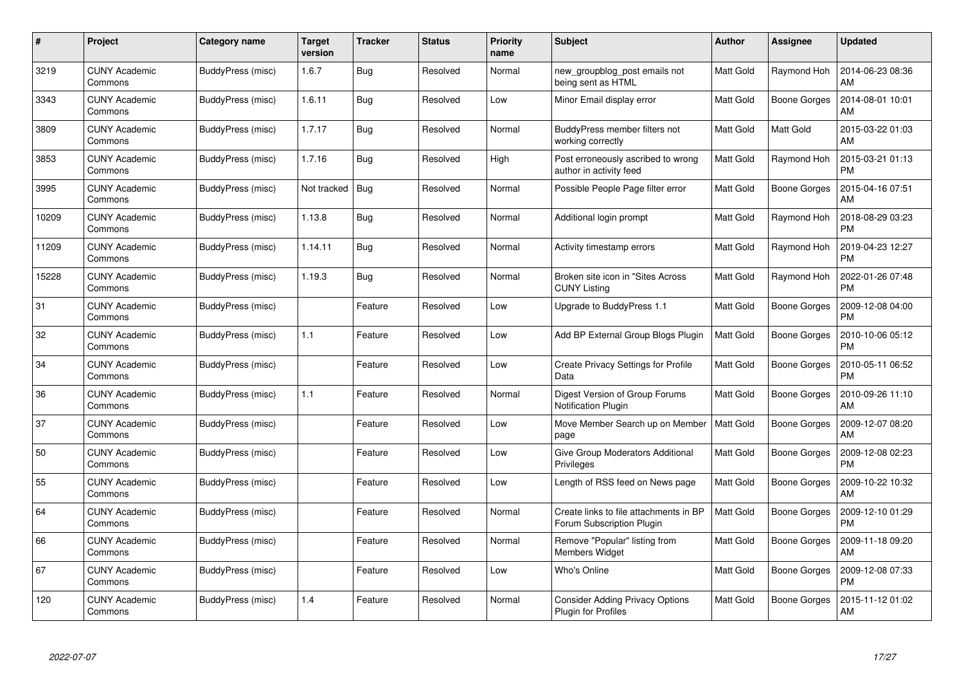| $\#$  | Project                         | Category name     | <b>Target</b><br>version | <b>Tracker</b> | <b>Status</b> | <b>Priority</b><br>name | Subject                                                             | Author           | Assignee            | <b>Updated</b>                |
|-------|---------------------------------|-------------------|--------------------------|----------------|---------------|-------------------------|---------------------------------------------------------------------|------------------|---------------------|-------------------------------|
| 3219  | <b>CUNY Academic</b><br>Commons | BuddyPress (misc) | 1.6.7                    | <b>Bug</b>     | Resolved      | Normal                  | new groupblog post emails not<br>being sent as HTML                 | <b>Matt Gold</b> | Raymond Hoh         | 2014-06-23 08:36<br>AM        |
| 3343  | <b>CUNY Academic</b><br>Commons | BuddyPress (misc) | 1.6.11                   | <b>Bug</b>     | Resolved      | Low                     | Minor Email display error                                           | <b>Matt Gold</b> | Boone Gorges        | 2014-08-01 10:01<br>AM        |
| 3809  | <b>CUNY Academic</b><br>Commons | BuddyPress (misc) | 1.7.17                   | <b>Bug</b>     | Resolved      | Normal                  | BuddyPress member filters not<br>working correctly                  | <b>Matt Gold</b> | Matt Gold           | 2015-03-22 01:03<br>AM        |
| 3853  | <b>CUNY Academic</b><br>Commons | BuddyPress (misc) | 1.7.16                   | <b>Bug</b>     | Resolved      | High                    | Post erroneously ascribed to wrong<br>author in activity feed       | <b>Matt Gold</b> | Raymond Hoh         | 2015-03-21 01:13<br><b>PM</b> |
| 3995  | <b>CUNY Academic</b><br>Commons | BuddyPress (misc) | Not tracked              | <b>Bug</b>     | Resolved      | Normal                  | Possible People Page filter error                                   | <b>Matt Gold</b> | Boone Gorges        | 2015-04-16 07:51<br>AM        |
| 10209 | <b>CUNY Academic</b><br>Commons | BuddyPress (misc) | 1.13.8                   | <b>Bug</b>     | Resolved      | Normal                  | Additional login prompt                                             | <b>Matt Gold</b> | Raymond Hoh         | 2018-08-29 03:23<br><b>PM</b> |
| 11209 | <b>CUNY Academic</b><br>Commons | BuddyPress (misc) | 1.14.11                  | <b>Bug</b>     | Resolved      | Normal                  | Activity timestamp errors                                           | Matt Gold        | Raymond Hoh         | 2019-04-23 12:27<br><b>PM</b> |
| 15228 | CUNY Academic<br>Commons        | BuddyPress (misc) | 1.19.3                   | Bug            | Resolved      | Normal                  | Broken site icon in "Sites Across<br><b>CUNY Listing</b>            | Matt Gold        | Raymond Hoh         | 2022-01-26 07:48<br><b>PM</b> |
| 31    | <b>CUNY Academic</b><br>Commons | BuddyPress (misc) |                          | Feature        | Resolved      | Low                     | Upgrade to BuddyPress 1.1                                           | <b>Matt Gold</b> | Boone Gorges        | 2009-12-08 04:00<br><b>PM</b> |
| 32    | <b>CUNY Academic</b><br>Commons | BuddyPress (misc) | 1.1                      | Feature        | Resolved      | Low                     | Add BP External Group Blogs Plugin                                  | Matt Gold        | Boone Gorges        | 2010-10-06 05:12<br><b>PM</b> |
| 34    | <b>CUNY Academic</b><br>Commons | BuddyPress (misc) |                          | Feature        | Resolved      | Low                     | Create Privacy Settings for Profile<br>Data                         | Matt Gold        | <b>Boone Gorges</b> | 2010-05-11 06:52<br><b>PM</b> |
| 36    | <b>CUNY Academic</b><br>Commons | BuddyPress (misc) | 1.1                      | Feature        | Resolved      | Normal                  | Digest Version of Group Forums<br><b>Notification Plugin</b>        | <b>Matt Gold</b> | Boone Gorges        | 2010-09-26 11:10<br>AM        |
| 37    | <b>CUNY Academic</b><br>Commons | BuddyPress (misc) |                          | Feature        | Resolved      | Low                     | Move Member Search up on Member<br>page                             | <b>Matt Gold</b> | Boone Gorges        | 2009-12-07 08:20<br>AM        |
| 50    | <b>CUNY Academic</b><br>Commons | BuddyPress (misc) |                          | Feature        | Resolved      | Low                     | Give Group Moderators Additional<br>Privileges                      | Matt Gold        | Boone Gorges        | 2009-12-08 02:23<br><b>PM</b> |
| 55    | <b>CUNY Academic</b><br>Commons | BuddyPress (misc) |                          | Feature        | Resolved      | Low                     | Length of RSS feed on News page                                     | Matt Gold        | Boone Gorges        | 2009-10-22 10:32<br>AM        |
| 64    | <b>CUNY Academic</b><br>Commons | BuddyPress (misc) |                          | Feature        | Resolved      | Normal                  | Create links to file attachments in BP<br>Forum Subscription Plugin | Matt Gold        | <b>Boone Gorges</b> | 2009-12-10 01:29<br><b>PM</b> |
| 66    | <b>CUNY Academic</b><br>Commons | BuddyPress (misc) |                          | Feature        | Resolved      | Normal                  | Remove "Popular" listing from<br>Members Widget                     | <b>Matt Gold</b> | Boone Gorges        | 2009-11-18 09:20<br>AM        |
| 67    | <b>CUNY Academic</b><br>Commons | BuddyPress (misc) |                          | Feature        | Resolved      | Low                     | Who's Online                                                        | <b>Matt Gold</b> | Boone Gorges        | 2009-12-08 07:33<br><b>PM</b> |
| 120   | <b>CUNY Academic</b><br>Commons | BuddyPress (misc) | 1.4                      | Feature        | Resolved      | Normal                  | <b>Consider Adding Privacy Options</b><br>Plugin for Profiles       | Matt Gold        | Boone Gorges        | 2015-11-12 01:02<br>AM        |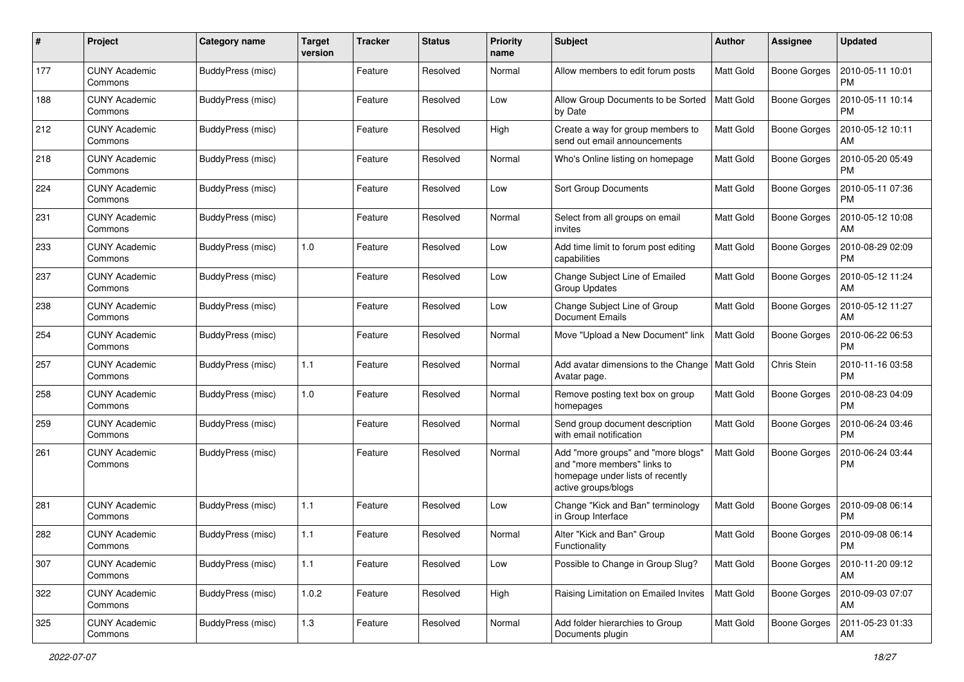| #   | Project                         | Category name     | <b>Target</b><br>version | <b>Tracker</b> | <b>Status</b> | <b>Priority</b><br>name | <b>Subject</b>                                                                                                               | Author           | <b>Assignee</b>     | <b>Updated</b>                |
|-----|---------------------------------|-------------------|--------------------------|----------------|---------------|-------------------------|------------------------------------------------------------------------------------------------------------------------------|------------------|---------------------|-------------------------------|
| 177 | <b>CUNY Academic</b><br>Commons | BuddyPress (misc) |                          | Feature        | Resolved      | Normal                  | Allow members to edit forum posts                                                                                            | Matt Gold        | <b>Boone Gorges</b> | 2010-05-11 10:01<br>PM        |
| 188 | <b>CUNY Academic</b><br>Commons | BuddyPress (misc) |                          | Feature        | Resolved      | Low                     | Allow Group Documents to be Sorted<br>by Date                                                                                | <b>Matt Gold</b> | Boone Gorges        | 2010-05-11 10:14<br><b>PM</b> |
| 212 | <b>CUNY Academic</b><br>Commons | BuddyPress (misc) |                          | Feature        | Resolved      | High                    | Create a way for group members to<br>send out email announcements                                                            | Matt Gold        | <b>Boone Gorges</b> | 2010-05-12 10:11<br>AM        |
| 218 | <b>CUNY Academic</b><br>Commons | BuddyPress (misc) |                          | Feature        | Resolved      | Normal                  | Who's Online listing on homepage                                                                                             | Matt Gold        | <b>Boone Gorges</b> | 2010-05-20 05:49<br><b>PM</b> |
| 224 | <b>CUNY Academic</b><br>Commons | BuddyPress (misc) |                          | Feature        | Resolved      | Low                     | <b>Sort Group Documents</b>                                                                                                  | <b>Matt Gold</b> | <b>Boone Gorges</b> | 2010-05-11 07:36<br>PM        |
| 231 | CUNY Academic<br>Commons        | BuddyPress (misc) |                          | Feature        | Resolved      | Normal                  | Select from all groups on email<br>invites                                                                                   | <b>Matt Gold</b> | Boone Gorges        | 2010-05-12 10:08<br>AM        |
| 233 | CUNY Academic<br>Commons        | BuddyPress (misc) | 1.0                      | Feature        | Resolved      | Low                     | Add time limit to forum post editing<br>capabilities                                                                         | Matt Gold        | <b>Boone Gorges</b> | 2010-08-29 02:09<br><b>PM</b> |
| 237 | <b>CUNY Academic</b><br>Commons | BuddyPress (misc) |                          | Feature        | Resolved      | Low                     | Change Subject Line of Emailed<br>Group Updates                                                                              | <b>Matt Gold</b> | <b>Boone Gorges</b> | 2010-05-12 11:24<br>АM        |
| 238 | CUNY Academic<br>Commons        | BuddyPress (misc) |                          | Feature        | Resolved      | Low                     | Change Subject Line of Group<br><b>Document Emails</b>                                                                       | <b>Matt Gold</b> | <b>Boone Gorges</b> | 2010-05-12 11:27<br>AM        |
| 254 | <b>CUNY Academic</b><br>Commons | BuddyPress (misc) |                          | Feature        | Resolved      | Normal                  | Move "Upload a New Document" link                                                                                            | <b>Matt Gold</b> | <b>Boone Gorges</b> | 2010-06-22 06:53<br><b>PM</b> |
| 257 | <b>CUNY Academic</b><br>Commons | BuddyPress (misc) | $1.1$                    | Feature        | Resolved      | Normal                  | Add avatar dimensions to the Change   Matt Gold<br>Avatar page.                                                              |                  | Chris Stein         | 2010-11-16 03:58<br><b>PM</b> |
| 258 | <b>CUNY Academic</b><br>Commons | BuddyPress (misc) | 1.0                      | Feature        | Resolved      | Normal                  | Remove posting text box on group<br>homepages                                                                                | <b>Matt Gold</b> | <b>Boone Gorges</b> | 2010-08-23 04:09<br><b>PM</b> |
| 259 | <b>CUNY Academic</b><br>Commons | BuddyPress (misc) |                          | Feature        | Resolved      | Normal                  | Send group document description<br>with email notification                                                                   | <b>Matt Gold</b> | <b>Boone Gorges</b> | 2010-06-24 03:46<br><b>PM</b> |
| 261 | <b>CUNY Academic</b><br>Commons | BuddyPress (misc) |                          | Feature        | Resolved      | Normal                  | Add "more groups" and "more blogs"<br>and "more members" links to<br>homepage under lists of recently<br>active groups/blogs | <b>Matt Gold</b> | <b>Boone Gorges</b> | 2010-06-24 03:44<br><b>PM</b> |
| 281 | <b>CUNY Academic</b><br>Commons | BuddyPress (misc) | 1.1                      | Feature        | Resolved      | Low                     | Change "Kick and Ban" terminology<br>in Group Interface                                                                      | <b>Matt Gold</b> | Boone Gorges        | 2010-09-08 06:14<br><b>PM</b> |
| 282 | <b>CUNY Academic</b><br>Commons | BuddyPress (misc) | 1.1                      | Feature        | Resolved      | Normal                  | Alter "Kick and Ban" Group<br>Functionality                                                                                  | Matt Gold        | Boone Gorges        | 2010-09-08 06:14<br>PM        |
| 307 | <b>CUNY Academic</b><br>Commons | BuddyPress (misc) | 1.1                      | Feature        | Resolved      | Low                     | Possible to Change in Group Slug?                                                                                            | <b>Matt Gold</b> | <b>Boone Gorges</b> | 2010-11-20 09:12<br>AM        |
| 322 | <b>CUNY Academic</b><br>Commons | BuddyPress (misc) | 1.0.2                    | Feature        | Resolved      | High                    | Raising Limitation on Emailed Invites                                                                                        | Matt Gold        | Boone Gorges        | 2010-09-03 07:07<br>AM        |
| 325 | <b>CUNY Academic</b><br>Commons | BuddyPress (misc) | $1.3$                    | Feature        | Resolved      | Normal                  | Add folder hierarchies to Group<br>Documents plugin                                                                          | Matt Gold        | Boone Gorges        | 2011-05-23 01:33<br>AM        |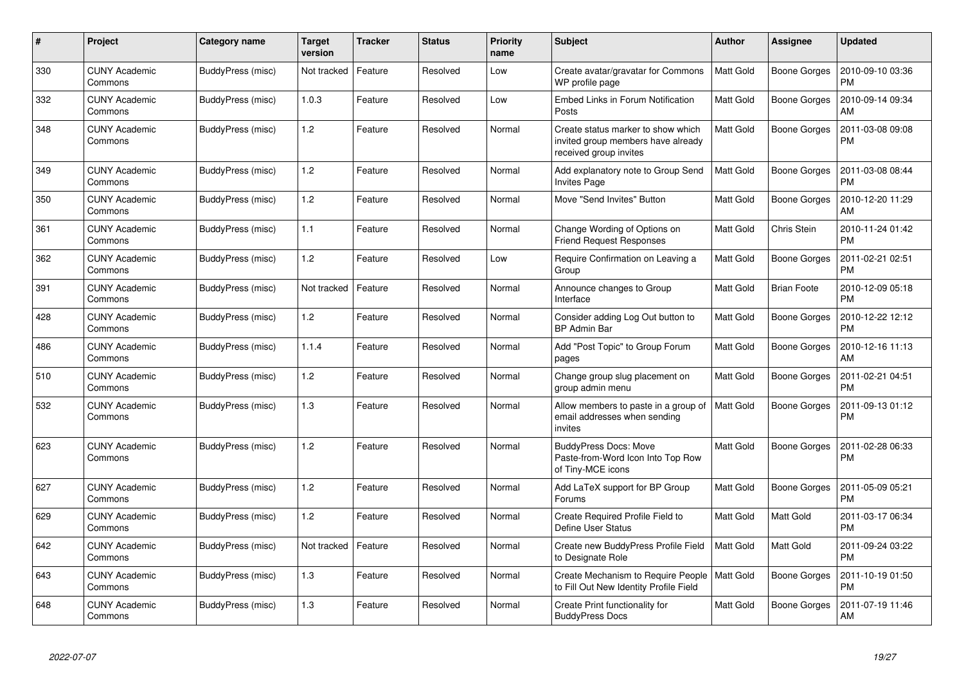| #   | Project                         | Category name     | Target<br>version | <b>Tracker</b> | <b>Status</b> | <b>Priority</b><br>name | <b>Subject</b>                                                                                     | <b>Author</b>    | Assignee            | <b>Updated</b>                |
|-----|---------------------------------|-------------------|-------------------|----------------|---------------|-------------------------|----------------------------------------------------------------------------------------------------|------------------|---------------------|-------------------------------|
| 330 | <b>CUNY Academic</b><br>Commons | BuddyPress (misc) | Not tracked       | Feature        | Resolved      | Low                     | Create avatar/gravatar for Commons<br>WP profile page                                              | Matt Gold        | Boone Gorges        | 2010-09-10 03:36<br><b>PM</b> |
| 332 | <b>CUNY Academic</b><br>Commons | BuddyPress (misc) | 1.0.3             | Feature        | Resolved      | Low                     | <b>Embed Links in Forum Notification</b><br>Posts                                                  | <b>Matt Gold</b> | <b>Boone Gorges</b> | 2010-09-14 09:34<br>AM        |
| 348 | <b>CUNY Academic</b><br>Commons | BuddyPress (misc) | 1.2               | Feature        | Resolved      | Normal                  | Create status marker to show which<br>invited group members have already<br>received group invites | Matt Gold        | Boone Gorges        | 2011-03-08 09:08<br><b>PM</b> |
| 349 | <b>CUNY Academic</b><br>Commons | BuddyPress (misc) | 1.2               | Feature        | Resolved      | Normal                  | Add explanatory note to Group Send<br><b>Invites Page</b>                                          | <b>Matt Gold</b> | Boone Gorges        | 2011-03-08 08:44<br><b>PM</b> |
| 350 | <b>CUNY Academic</b><br>Commons | BuddyPress (misc) | $1.2$             | Feature        | Resolved      | Normal                  | Move "Send Invites" Button                                                                         | <b>Matt Gold</b> | Boone Gorges        | 2010-12-20 11:29<br>AM        |
| 361 | <b>CUNY Academic</b><br>Commons | BuddyPress (misc) | 1.1               | Feature        | Resolved      | Normal                  | Change Wording of Options on<br><b>Friend Request Responses</b>                                    | <b>Matt Gold</b> | Chris Stein         | 2010-11-24 01:42<br><b>PM</b> |
| 362 | <b>CUNY Academic</b><br>Commons | BuddyPress (misc) | 1.2               | Feature        | Resolved      | Low                     | Require Confirmation on Leaving a<br>Group                                                         | <b>Matt Gold</b> | Boone Gorges        | 2011-02-21 02:51<br><b>PM</b> |
| 391 | <b>CUNY Academic</b><br>Commons | BuddyPress (misc) | Not tracked       | Feature        | Resolved      | Normal                  | Announce changes to Group<br>Interface                                                             | <b>Matt Gold</b> | <b>Brian Foote</b>  | 2010-12-09 05:18<br><b>PM</b> |
| 428 | CUNY Academic<br>Commons        | BuddyPress (misc) | 1.2               | Feature        | Resolved      | Normal                  | Consider adding Log Out button to<br><b>BP Admin Bar</b>                                           | <b>Matt Gold</b> | Boone Gorges        | 2010-12-22 12:12<br><b>PM</b> |
| 486 | <b>CUNY Academic</b><br>Commons | BuddyPress (misc) | 1.1.4             | Feature        | Resolved      | Normal                  | Add "Post Topic" to Group Forum<br>pages                                                           | <b>Matt Gold</b> | Boone Gorges        | 2010-12-16 11:13<br>AM        |
| 510 | <b>CUNY Academic</b><br>Commons | BuddyPress (misc) | 1.2               | Feature        | Resolved      | Normal                  | Change group slug placement on<br>group admin menu                                                 | <b>Matt Gold</b> | <b>Boone Gorges</b> | 2011-02-21 04:51<br><b>PM</b> |
| 532 | CUNY Academic<br>Commons        | BuddyPress (misc) | 1.3               | Feature        | Resolved      | Normal                  | Allow members to paste in a group of<br>email addresses when sending<br>invites                    | <b>Matt Gold</b> | Boone Gorges        | 2011-09-13 01:12<br><b>PM</b> |
| 623 | <b>CUNY Academic</b><br>Commons | BuddyPress (misc) | 1.2               | Feature        | Resolved      | Normal                  | <b>BuddyPress Docs: Move</b><br>Paste-from-Word Icon Into Top Row<br>of Tiny-MCE icons             | <b>Matt Gold</b> | Boone Gorges        | 2011-02-28 06:33<br><b>PM</b> |
| 627 | <b>CUNY Academic</b><br>Commons | BuddyPress (misc) | 1.2               | Feature        | Resolved      | Normal                  | Add LaTeX support for BP Group<br>Forums                                                           | <b>Matt Gold</b> | <b>Boone Gorges</b> | 2011-05-09 05:21<br><b>PM</b> |
| 629 | <b>CUNY Academic</b><br>Commons | BuddyPress (misc) | 1.2               | Feature        | Resolved      | Normal                  | Create Required Profile Field to<br>Define User Status                                             | <b>Matt Gold</b> | Matt Gold           | 2011-03-17 06:34<br><b>PM</b> |
| 642 | <b>CUNY Academic</b><br>Commons | BuddyPress (misc) | Not tracked       | Feature        | Resolved      | Normal                  | Create new BuddyPress Profile Field<br>to Designate Role                                           | Matt Gold        | Matt Gold           | 2011-09-24 03:22<br><b>PM</b> |
| 643 | <b>CUNY Academic</b><br>Commons | BuddyPress (misc) | 1.3               | Feature        | Resolved      | Normal                  | Create Mechanism to Require People<br>to Fill Out New Identity Profile Field                       | Matt Gold        | Boone Gorges        | 2011-10-19 01:50<br><b>PM</b> |
| 648 | <b>CUNY Academic</b><br>Commons | BuddyPress (misc) | $1.3$             | Feature        | Resolved      | Normal                  | Create Print functionality for<br><b>BuddyPress Docs</b>                                           | <b>Matt Gold</b> | <b>Boone Gorges</b> | 2011-07-19 11:46<br>AM        |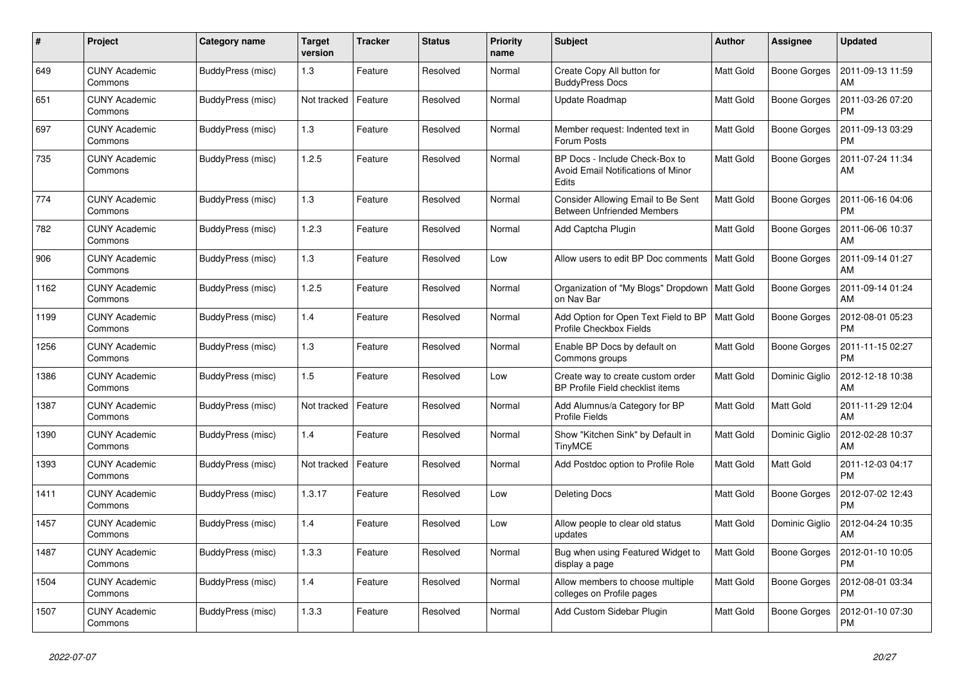| $\#$ | Project                         | Category name     | Target<br>version | <b>Tracker</b> | <b>Status</b> | <b>Priority</b><br>name | <b>Subject</b>                                                                | <b>Author</b>    | Assignee            | <b>Updated</b>                |
|------|---------------------------------|-------------------|-------------------|----------------|---------------|-------------------------|-------------------------------------------------------------------------------|------------------|---------------------|-------------------------------|
| 649  | <b>CUNY Academic</b><br>Commons | BuddyPress (misc) | 1.3               | Feature        | Resolved      | Normal                  | Create Copy All button for<br><b>BuddyPress Docs</b>                          | Matt Gold        | <b>Boone Gorges</b> | 2011-09-13 11:59<br>AM        |
| 651  | <b>CUNY Academic</b><br>Commons | BuddyPress (misc) | Not tracked       | Feature        | Resolved      | Normal                  | Update Roadmap                                                                | <b>Matt Gold</b> | <b>Boone Gorges</b> | 2011-03-26 07:20<br><b>PM</b> |
| 697  | <b>CUNY Academic</b><br>Commons | BuddyPress (misc) | 1.3               | Feature        | Resolved      | Normal                  | Member request: Indented text in<br>Forum Posts                               | <b>Matt Gold</b> | Boone Gorges        | 2011-09-13 03:29<br><b>PM</b> |
| 735  | <b>CUNY Academic</b><br>Commons | BuddyPress (misc) | 1.2.5             | Feature        | Resolved      | Normal                  | BP Docs - Include Check-Box to<br>Avoid Email Notifications of Minor<br>Edits | <b>Matt Gold</b> | Boone Gorges        | 2011-07-24 11:34<br>AM        |
| 774  | <b>CUNY Academic</b><br>Commons | BuddyPress (misc) | 1.3               | Feature        | Resolved      | Normal                  | Consider Allowing Email to Be Sent<br><b>Between Unfriended Members</b>       | <b>Matt Gold</b> | Boone Gorges        | 2011-06-16 04:06<br><b>PM</b> |
| 782  | <b>CUNY Academic</b><br>Commons | BuddyPress (misc) | 1.2.3             | Feature        | Resolved      | Normal                  | Add Captcha Plugin                                                            | <b>Matt Gold</b> | <b>Boone Gorges</b> | 2011-06-06 10:37<br>AM        |
| 906  | <b>CUNY Academic</b><br>Commons | BuddyPress (misc) | 1.3               | Feature        | Resolved      | Low                     | Allow users to edit BP Doc comments                                           | <b>Matt Gold</b> | Boone Gorges        | 2011-09-14 01:27<br>AM        |
| 1162 | <b>CUNY Academic</b><br>Commons | BuddyPress (misc) | 1.2.5             | Feature        | Resolved      | Normal                  | Organization of "My Blogs" Dropdown   Matt Gold<br>on Nav Bar                 |                  | Boone Gorges        | 2011-09-14 01:24<br>AM        |
| 1199 | <b>CUNY Academic</b><br>Commons | BuddyPress (misc) | 1.4               | Feature        | Resolved      | Normal                  | Add Option for Open Text Field to BP<br>Profile Checkbox Fields               | <b>Matt Gold</b> | Boone Gorges        | 2012-08-01 05:23<br><b>PM</b> |
| 1256 | <b>CUNY Academic</b><br>Commons | BuddyPress (misc) | 1.3               | Feature        | Resolved      | Normal                  | Enable BP Docs by default on<br>Commons groups                                | <b>Matt Gold</b> | <b>Boone Gorges</b> | 2011-11-15 02:27<br><b>PM</b> |
| 1386 | <b>CUNY Academic</b><br>Commons | BuddyPress (misc) | 1.5               | Feature        | Resolved      | Low                     | Create way to create custom order<br>BP Profile Field checklist items         | <b>Matt Gold</b> | Dominic Giglio      | 2012-12-18 10:38<br>AM        |
| 1387 | <b>CUNY Academic</b><br>Commons | BuddyPress (misc) | Not tracked       | Feature        | Resolved      | Normal                  | Add Alumnus/a Category for BP<br>Profile Fields                               | <b>Matt Gold</b> | Matt Gold           | 2011-11-29 12:04<br>AM        |
| 1390 | <b>CUNY Academic</b><br>Commons | BuddyPress (misc) | 1.4               | Feature        | Resolved      | Normal                  | Show "Kitchen Sink" by Default in<br><b>TinyMCE</b>                           | <b>Matt Gold</b> | Dominic Giglio      | 2012-02-28 10:37<br>AM        |
| 1393 | <b>CUNY Academic</b><br>Commons | BuddyPress (misc) | Not tracked       | Feature        | Resolved      | Normal                  | Add Postdoc option to Profile Role                                            | <b>Matt Gold</b> | <b>Matt Gold</b>    | 2011-12-03 04:17<br><b>PM</b> |
| 1411 | <b>CUNY Academic</b><br>Commons | BuddyPress (misc) | 1.3.17            | Feature        | Resolved      | Low                     | <b>Deleting Docs</b>                                                          | <b>Matt Gold</b> | Boone Gorges        | 2012-07-02 12:43<br><b>PM</b> |
| 1457 | <b>CUNY Academic</b><br>Commons | BuddyPress (misc) | 1.4               | Feature        | Resolved      | Low                     | Allow people to clear old status<br>updates                                   | <b>Matt Gold</b> | Dominic Giglio      | 2012-04-24 10:35<br>AM        |
| 1487 | <b>CUNY Academic</b><br>Commons | BuddyPress (misc) | 1.3.3             | Feature        | Resolved      | Normal                  | Bug when using Featured Widget to<br>display a page                           | <b>Matt Gold</b> | Boone Gorges        | 2012-01-10 10:05<br><b>PM</b> |
| 1504 | <b>CUNY Academic</b><br>Commons | BuddyPress (misc) | 1.4               | Feature        | Resolved      | Normal                  | Allow members to choose multiple<br>colleges on Profile pages                 | <b>Matt Gold</b> | Boone Gorges        | 2012-08-01 03:34<br><b>PM</b> |
| 1507 | <b>CUNY Academic</b><br>Commons | BuddyPress (misc) | 1.3.3             | Feature        | Resolved      | Normal                  | Add Custom Sidebar Plugin                                                     | <b>Matt Gold</b> | Boone Gorges        | 2012-01-10 07:30<br><b>PM</b> |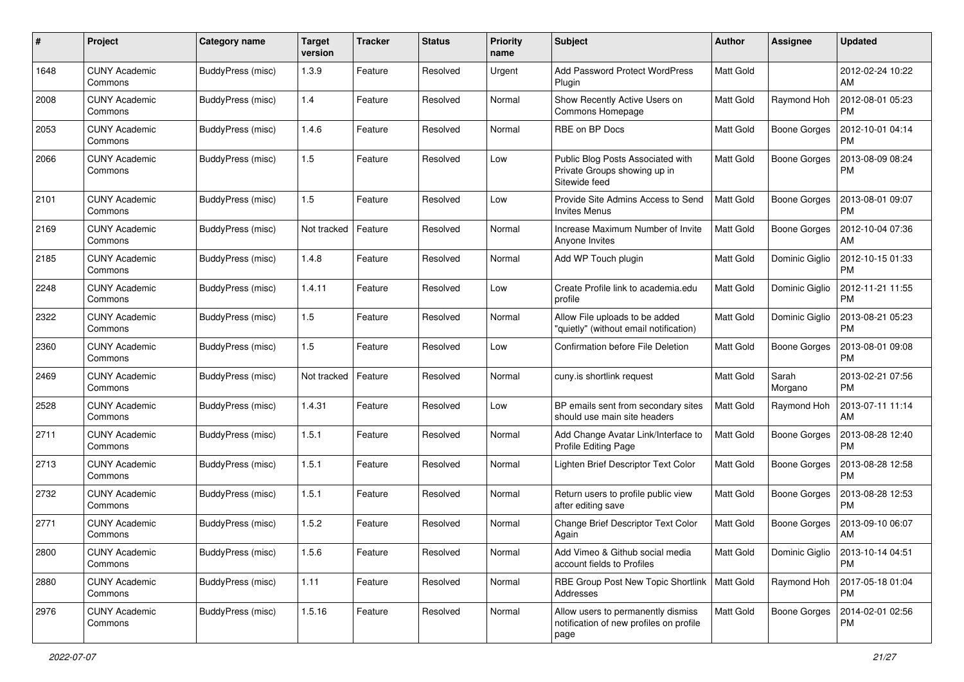| #    | Project                         | <b>Category name</b> | <b>Target</b><br>version | <b>Tracker</b> | <b>Status</b> | <b>Priority</b><br>name | <b>Subject</b>                                                                        | <b>Author</b>    | <b>Assignee</b>     | <b>Updated</b>                |
|------|---------------------------------|----------------------|--------------------------|----------------|---------------|-------------------------|---------------------------------------------------------------------------------------|------------------|---------------------|-------------------------------|
| 1648 | <b>CUNY Academic</b><br>Commons | BuddyPress (misc)    | 1.3.9                    | Feature        | Resolved      | Urgent                  | Add Password Protect WordPress<br>Plugin                                              | <b>Matt Gold</b> |                     | 2012-02-24 10:22<br>AM        |
| 2008 | <b>CUNY Academic</b><br>Commons | BuddyPress (misc)    | 1.4                      | Feature        | Resolved      | Normal                  | Show Recently Active Users on<br>Commons Homepage                                     | <b>Matt Gold</b> | Raymond Hoh         | 2012-08-01 05:23<br><b>PM</b> |
| 2053 | <b>CUNY Academic</b><br>Commons | BuddyPress (misc)    | 1.4.6                    | Feature        | Resolved      | Normal                  | RBE on BP Docs                                                                        | Matt Gold        | <b>Boone Gorges</b> | 2012-10-01 04:14<br><b>PM</b> |
| 2066 | <b>CUNY Academic</b><br>Commons | BuddyPress (misc)    | 1.5                      | Feature        | Resolved      | Low                     | Public Blog Posts Associated with<br>Private Groups showing up in<br>Sitewide feed    | <b>Matt Gold</b> | <b>Boone Gorges</b> | 2013-08-09 08:24<br><b>PM</b> |
| 2101 | <b>CUNY Academic</b><br>Commons | BuddyPress (misc)    | 1.5                      | Feature        | Resolved      | Low                     | Provide Site Admins Access to Send<br><b>Invites Menus</b>                            | <b>Matt Gold</b> | <b>Boone Gorges</b> | 2013-08-01 09:07<br><b>PM</b> |
| 2169 | <b>CUNY Academic</b><br>Commons | BuddyPress (misc)    | Not tracked              | Feature        | Resolved      | Normal                  | Increase Maximum Number of Invite<br>Anyone Invites                                   | <b>Matt Gold</b> | <b>Boone Gorges</b> | 2012-10-04 07:36<br>AM        |
| 2185 | <b>CUNY Academic</b><br>Commons | BuddyPress (misc)    | 1.4.8                    | Feature        | Resolved      | Normal                  | Add WP Touch plugin                                                                   | <b>Matt Gold</b> | Dominic Giglio      | 2012-10-15 01:33<br><b>PM</b> |
| 2248 | <b>CUNY Academic</b><br>Commons | BuddyPress (misc)    | 1.4.11                   | Feature        | Resolved      | Low                     | Create Profile link to academia.edu<br>profile                                        | <b>Matt Gold</b> | Dominic Giglio      | 2012-11-21 11:55<br><b>PM</b> |
| 2322 | <b>CUNY Academic</b><br>Commons | BuddyPress (misc)    | 1.5                      | Feature        | Resolved      | Normal                  | Allow File uploads to be added<br>"quietly" (without email notification)              | <b>Matt Gold</b> | Dominic Giglio      | 2013-08-21 05:23<br><b>PM</b> |
| 2360 | <b>CUNY Academic</b><br>Commons | BuddyPress (misc)    | 1.5                      | Feature        | Resolved      | Low                     | Confirmation before File Deletion                                                     | <b>Matt Gold</b> | <b>Boone Gorges</b> | 2013-08-01 09:08<br><b>PM</b> |
| 2469 | <b>CUNY Academic</b><br>Commons | BuddyPress (misc)    | Not tracked              | Feature        | Resolved      | Normal                  | cuny.is shortlink request                                                             | Matt Gold        | Sarah<br>Morgano    | 2013-02-21 07:56<br><b>PM</b> |
| 2528 | <b>CUNY Academic</b><br>Commons | BuddyPress (misc)    | 1.4.31                   | Feature        | Resolved      | Low                     | BP emails sent from secondary sites<br>should use main site headers                   | <b>Matt Gold</b> | Raymond Hoh         | 2013-07-11 11:14<br>AM        |
| 2711 | <b>CUNY Academic</b><br>Commons | BuddyPress (misc)    | 1.5.1                    | Feature        | Resolved      | Normal                  | Add Change Avatar Link/Interface to<br>Profile Editing Page                           | Matt Gold        | <b>Boone Gorges</b> | 2013-08-28 12:40<br><b>PM</b> |
| 2713 | <b>CUNY Academic</b><br>Commons | BuddyPress (misc)    | 1.5.1                    | Feature        | Resolved      | Normal                  | Lighten Brief Descriptor Text Color                                                   | <b>Matt Gold</b> | <b>Boone Gorges</b> | 2013-08-28 12:58<br><b>PM</b> |
| 2732 | <b>CUNY Academic</b><br>Commons | BuddyPress (misc)    | 1.5.1                    | Feature        | Resolved      | Normal                  | Return users to profile public view<br>after editing save                             | <b>Matt Gold</b> | <b>Boone Gorges</b> | 2013-08-28 12:53<br><b>PM</b> |
| 2771 | <b>CUNY Academic</b><br>Commons | BuddyPress (misc)    | 1.5.2                    | Feature        | Resolved      | Normal                  | Change Brief Descriptor Text Color<br>Again                                           | <b>Matt Gold</b> | <b>Boone Gorges</b> | 2013-09-10 06:07<br>AM        |
| 2800 | <b>CUNY Academic</b><br>Commons | BuddyPress (misc)    | 1.5.6                    | Feature        | Resolved      | Normal                  | Add Vimeo & Github social media<br>account fields to Profiles                         | Matt Gold        | Dominic Giglio      | 2013-10-14 04:51<br>PM        |
| 2880 | <b>CUNY Academic</b><br>Commons | BuddyPress (misc)    | 1.11                     | Feature        | Resolved      | Normal                  | RBE Group Post New Topic Shortlink  <br>Addresses                                     | Matt Gold        | Raymond Hoh         | 2017-05-18 01:04<br>PM        |
| 2976 | <b>CUNY Academic</b><br>Commons | BuddyPress (misc)    | 1.5.16                   | Feature        | Resolved      | Normal                  | Allow users to permanently dismiss<br>notification of new profiles on profile<br>page | Matt Gold        | Boone Gorges        | 2014-02-01 02:56<br><b>PM</b> |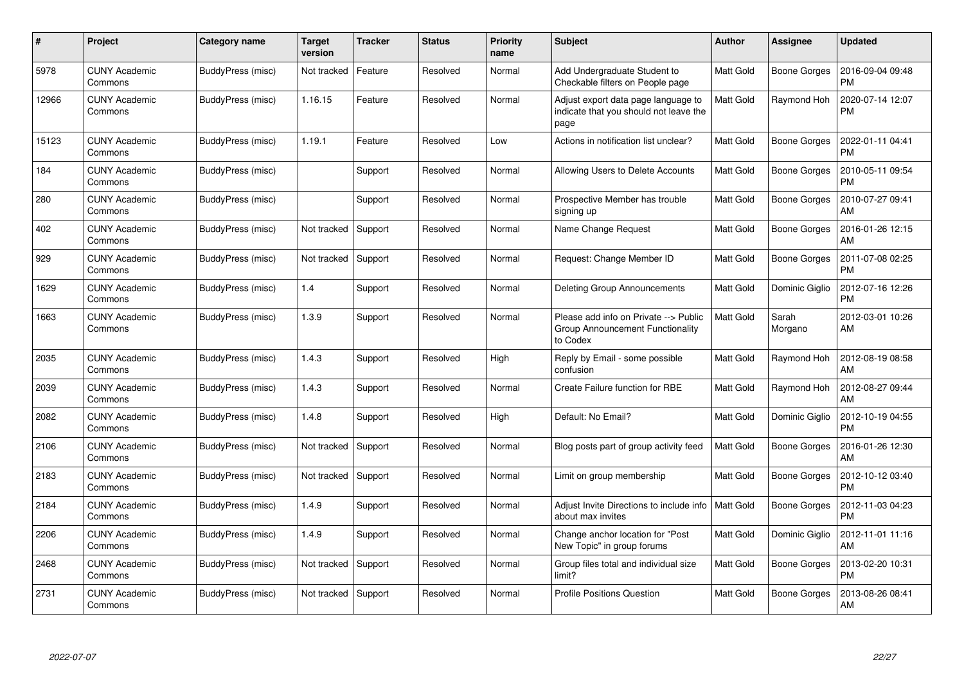| #     | Project                         | <b>Category name</b> | Target<br>version | <b>Tracker</b> | <b>Status</b> | <b>Priority</b><br>name | <b>Subject</b>                                                                        | <b>Author</b>    | <b>Assignee</b>     | <b>Updated</b>                |
|-------|---------------------------------|----------------------|-------------------|----------------|---------------|-------------------------|---------------------------------------------------------------------------------------|------------------|---------------------|-------------------------------|
| 5978  | <b>CUNY Academic</b><br>Commons | BuddyPress (misc)    | Not tracked       | Feature        | Resolved      | Normal                  | Add Undergraduate Student to<br>Checkable filters on People page                      | <b>Matt Gold</b> | <b>Boone Gorges</b> | 2016-09-04 09:48<br>PM        |
| 12966 | <b>CUNY Academic</b><br>Commons | BuddyPress (misc)    | 1.16.15           | Feature        | Resolved      | Normal                  | Adjust export data page language to<br>indicate that you should not leave the<br>page | Matt Gold        | Raymond Hoh         | 2020-07-14 12:07<br><b>PM</b> |
| 15123 | <b>CUNY Academic</b><br>Commons | BuddyPress (misc)    | 1.19.1            | Feature        | Resolved      | Low                     | Actions in notification list unclear?                                                 | <b>Matt Gold</b> | Boone Gorges        | 2022-01-11 04:41<br><b>PM</b> |
| 184   | <b>CUNY Academic</b><br>Commons | BuddyPress (misc)    |                   | Support        | Resolved      | Normal                  | Allowing Users to Delete Accounts                                                     | <b>Matt Gold</b> | Boone Gorges        | 2010-05-11 09:54<br><b>PM</b> |
| 280   | <b>CUNY Academic</b><br>Commons | BuddyPress (misc)    |                   | Support        | Resolved      | Normal                  | Prospective Member has trouble<br>signing up                                          | <b>Matt Gold</b> | <b>Boone Gorges</b> | 2010-07-27 09:41<br>AM        |
| 402   | <b>CUNY Academic</b><br>Commons | BuddyPress (misc)    | Not tracked       | Support        | Resolved      | Normal                  | Name Change Request                                                                   | <b>Matt Gold</b> | <b>Boone Gorges</b> | 2016-01-26 12:15<br>AM        |
| 929   | <b>CUNY Academic</b><br>Commons | BuddyPress (misc)    | Not tracked       | Support        | Resolved      | Normal                  | Request: Change Member ID                                                             | <b>Matt Gold</b> | Boone Gorges        | 2011-07-08 02:25<br><b>PM</b> |
| 1629  | <b>CUNY Academic</b><br>Commons | BuddyPress (misc)    | 1.4               | Support        | Resolved      | Normal                  | <b>Deleting Group Announcements</b>                                                   | <b>Matt Gold</b> | Dominic Giglio      | 2012-07-16 12:26<br><b>PM</b> |
| 1663  | <b>CUNY Academic</b><br>Commons | BuddyPress (misc)    | 1.3.9             | Support        | Resolved      | Normal                  | Please add info on Private --> Public<br>Group Announcement Functionality<br>to Codex | <b>Matt Gold</b> | Sarah<br>Morgano    | 2012-03-01 10:26<br>AM        |
| 2035  | <b>CUNY Academic</b><br>Commons | BuddyPress (misc)    | 1.4.3             | Support        | Resolved      | High                    | Reply by Email - some possible<br>confusion                                           | <b>Matt Gold</b> | Raymond Hoh         | 2012-08-19 08:58<br>AM        |
| 2039  | <b>CUNY Academic</b><br>Commons | BuddyPress (misc)    | 1.4.3             | Support        | Resolved      | Normal                  | Create Failure function for RBE                                                       | Matt Gold        | Raymond Hoh         | 2012-08-27 09:44<br>AM        |
| 2082  | <b>CUNY Academic</b><br>Commons | BuddyPress (misc)    | 1.4.8             | Support        | Resolved      | High                    | Default: No Email?                                                                    | <b>Matt Gold</b> | Dominic Giglio      | 2012-10-19 04:55<br><b>PM</b> |
| 2106  | <b>CUNY Academic</b><br>Commons | BuddyPress (misc)    | Not tracked       | Support        | Resolved      | Normal                  | Blog posts part of group activity feed                                                | <b>Matt Gold</b> | Boone Gorges        | 2016-01-26 12:30<br>AM        |
| 2183  | <b>CUNY Academic</b><br>Commons | BuddyPress (misc)    | Not tracked       | Support        | Resolved      | Normal                  | Limit on group membership                                                             | <b>Matt Gold</b> | Boone Gorges        | 2012-10-12 03:40<br><b>PM</b> |
| 2184  | <b>CUNY Academic</b><br>Commons | BuddyPress (misc)    | 1.4.9             | Support        | Resolved      | Normal                  | Adjust Invite Directions to include info<br>about max invites                         | <b>Matt Gold</b> | Boone Gorges        | 2012-11-03 04:23<br><b>PM</b> |
| 2206  | <b>CUNY Academic</b><br>Commons | BuddyPress (misc)    | 1.4.9             | Support        | Resolved      | Normal                  | Change anchor location for "Post<br>New Topic" in group forums                        | <b>Matt Gold</b> | Dominic Giglio      | 2012-11-01 11:16<br>AM        |
| 2468  | <b>CUNY Academic</b><br>Commons | BuddyPress (misc)    | Not tracked       | Support        | Resolved      | Normal                  | Group files total and individual size<br>limit?                                       | <b>Matt Gold</b> | Boone Gorges        | 2013-02-20 10:31<br><b>PM</b> |
| 2731  | <b>CUNY Academic</b><br>Commons | BuddyPress (misc)    | Not tracked       | Support        | Resolved      | Normal                  | <b>Profile Positions Question</b>                                                     | Matt Gold        | Boone Gorges        | 2013-08-26 08:41<br>AM        |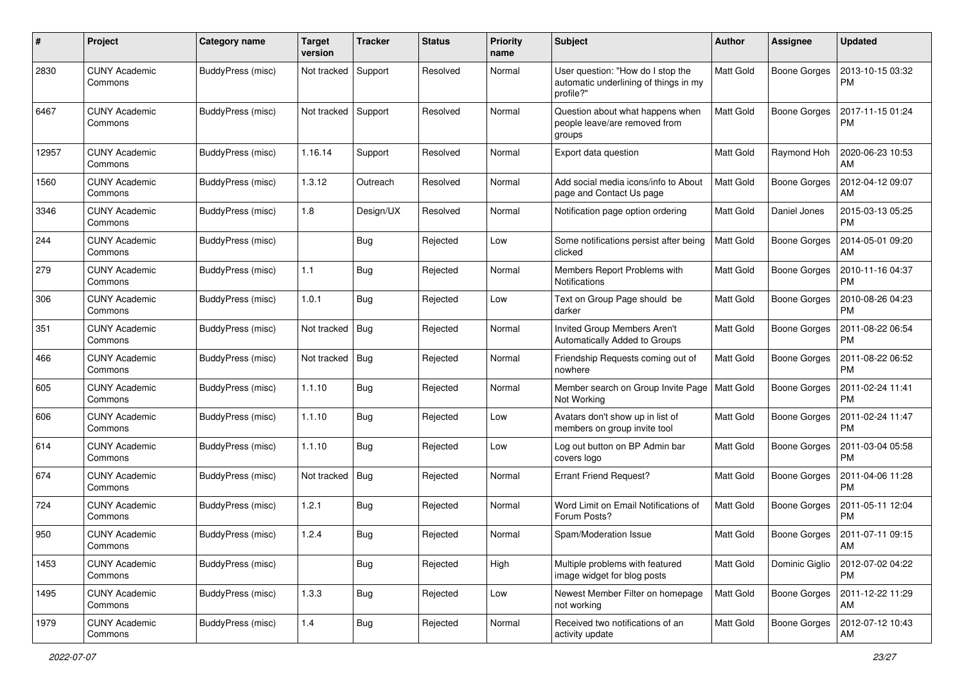| #     | Project                         | <b>Category name</b> | <b>Target</b><br>version | <b>Tracker</b> | <b>Status</b> | <b>Priority</b><br>name | Subject                                                                                 | <b>Author</b>    | <b>Assignee</b>     | <b>Updated</b>                |
|-------|---------------------------------|----------------------|--------------------------|----------------|---------------|-------------------------|-----------------------------------------------------------------------------------------|------------------|---------------------|-------------------------------|
| 2830  | <b>CUNY Academic</b><br>Commons | BuddyPress (misc)    | Not tracked              | Support        | Resolved      | Normal                  | User question: "How do I stop the<br>automatic underlining of things in my<br>profile?" | Matt Gold        | <b>Boone Gorges</b> | 2013-10-15 03:32<br><b>PM</b> |
| 6467  | <b>CUNY Academic</b><br>Commons | BuddyPress (misc)    | Not tracked              | Support        | Resolved      | Normal                  | Question about what happens when<br>people leave/are removed from<br>groups             | Matt Gold        | <b>Boone Gorges</b> | 2017-11-15 01:24<br><b>PM</b> |
| 12957 | <b>CUNY Academic</b><br>Commons | BuddyPress (misc)    | 1.16.14                  | Support        | Resolved      | Normal                  | Export data question                                                                    | <b>Matt Gold</b> | Raymond Hoh         | 2020-06-23 10:53<br>AM        |
| 1560  | <b>CUNY Academic</b><br>Commons | BuddyPress (misc)    | 1.3.12                   | Outreach       | Resolved      | Normal                  | Add social media icons/info to About<br>page and Contact Us page                        | Matt Gold        | <b>Boone Gorges</b> | 2012-04-12 09:07<br>AM        |
| 3346  | <b>CUNY Academic</b><br>Commons | BuddyPress (misc)    | 1.8                      | Design/UX      | Resolved      | Normal                  | Notification page option ordering                                                       | Matt Gold        | Daniel Jones        | 2015-03-13 05:25<br><b>PM</b> |
| 244   | <b>CUNY Academic</b><br>Commons | BuddyPress (misc)    |                          | Bug            | Rejected      | Low                     | Some notifications persist after being<br>clicked                                       | <b>Matt Gold</b> | <b>Boone Gorges</b> | 2014-05-01 09:20<br>AM        |
| 279   | <b>CUNY Academic</b><br>Commons | BuddyPress (misc)    | 1.1                      | Bug            | Rejected      | Normal                  | Members Report Problems with<br><b>Notifications</b>                                    | <b>Matt Gold</b> | <b>Boone Gorges</b> | 2010-11-16 04:37<br><b>PM</b> |
| 306   | <b>CUNY Academic</b><br>Commons | BuddyPress (misc)    | 1.0.1                    | Bug            | Rejected      | Low                     | Text on Group Page should be<br>darker                                                  | <b>Matt Gold</b> | Boone Gorges        | 2010-08-26 04:23<br><b>PM</b> |
| 351   | <b>CUNY Academic</b><br>Commons | BuddyPress (misc)    | Not tracked              | Bug            | Rejected      | Normal                  | Invited Group Members Aren't<br>Automatically Added to Groups                           | <b>Matt Gold</b> | <b>Boone Gorges</b> | 2011-08-22 06:54<br><b>PM</b> |
| 466   | <b>CUNY Academic</b><br>Commons | BuddyPress (misc)    | Not tracked              | Bug            | Rejected      | Normal                  | Friendship Requests coming out of<br>nowhere                                            | <b>Matt Gold</b> | <b>Boone Gorges</b> | 2011-08-22 06:52<br><b>PM</b> |
| 605   | <b>CUNY Academic</b><br>Commons | BuddyPress (misc)    | 1.1.10                   | Bug            | Rejected      | Normal                  | Member search on Group Invite Page<br>Not Working                                       | <b>Matt Gold</b> | <b>Boone Gorges</b> | 2011-02-24 11:41<br><b>PM</b> |
| 606   | <b>CUNY Academic</b><br>Commons | BuddyPress (misc)    | 1.1.10                   | Bug            | Rejected      | Low                     | Avatars don't show up in list of<br>members on group invite tool                        | Matt Gold        | <b>Boone Gorges</b> | 2011-02-24 11:47<br><b>PM</b> |
| 614   | <b>CUNY Academic</b><br>Commons | BuddyPress (misc)    | 1.1.10                   | Bug            | Rejected      | Low                     | Log out button on BP Admin bar<br>covers logo                                           | <b>Matt Gold</b> | <b>Boone Gorges</b> | 2011-03-04 05:58<br><b>PM</b> |
| 674   | <b>CUNY Academic</b><br>Commons | BuddyPress (misc)    | Not tracked              | Bug            | Rejected      | Normal                  | <b>Errant Friend Request?</b>                                                           | Matt Gold        | <b>Boone Gorges</b> | 2011-04-06 11:28<br><b>PM</b> |
| 724   | <b>CUNY Academic</b><br>Commons | BuddyPress (misc)    | 1.2.1                    | <b>Bug</b>     | Rejected      | Normal                  | Word Limit on Email Notifications of<br>Forum Posts?                                    | Matt Gold        | <b>Boone Gorges</b> | 2011-05-11 12:04<br><b>PM</b> |
| 950   | CUNY Academic<br>Commons        | BuddyPress (misc)    | 1.2.4                    | <b>Bug</b>     | Rejected      | Normal                  | Spam/Moderation Issue                                                                   | Matt Gold        | Boone Gorges        | 2011-07-11 09:15<br>AM        |
| 1453  | <b>CUNY Academic</b><br>Commons | BuddyPress (misc)    |                          | Bug            | Rejected      | High                    | Multiple problems with featured<br>image widget for blog posts                          | Matt Gold        | Dominic Giglio      | 2012-07-02 04:22<br><b>PM</b> |
| 1495  | <b>CUNY Academic</b><br>Commons | BuddyPress (misc)    | 1.3.3                    | <b>Bug</b>     | Rejected      | Low                     | Newest Member Filter on homepage<br>not working                                         | Matt Gold        | <b>Boone Gorges</b> | 2011-12-22 11:29<br><b>AM</b> |
| 1979  | <b>CUNY Academic</b><br>Commons | BuddyPress (misc)    | 1.4                      | <b>Bug</b>     | Rejected      | Normal                  | Received two notifications of an<br>activity update                                     | Matt Gold        | <b>Boone Gorges</b> | 2012-07-12 10:43<br>AM        |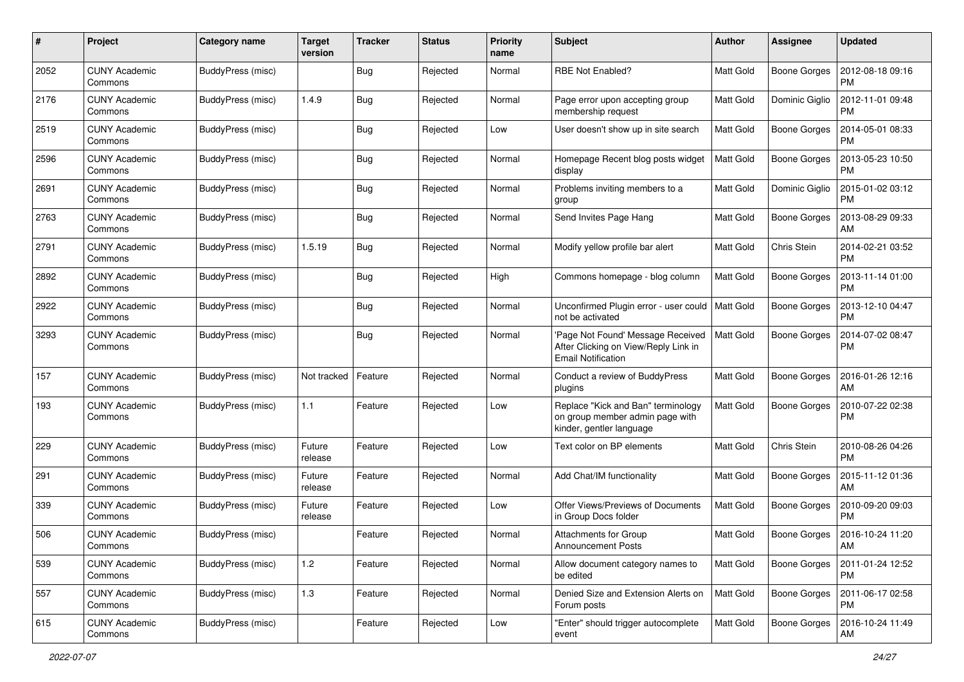| #    | Project                         | Category name     | <b>Target</b><br>version | <b>Tracker</b> | <b>Status</b> | <b>Priority</b><br>name | <b>Subject</b>                                                                                         | Author           | <b>Assignee</b>     | <b>Updated</b>                |
|------|---------------------------------|-------------------|--------------------------|----------------|---------------|-------------------------|--------------------------------------------------------------------------------------------------------|------------------|---------------------|-------------------------------|
| 2052 | <b>CUNY Academic</b><br>Commons | BuddyPress (misc) |                          | Bug            | Rejected      | Normal                  | RBE Not Enabled?                                                                                       | Matt Gold        | <b>Boone Gorges</b> | 2012-08-18 09:16<br>PM        |
| 2176 | <b>CUNY Academic</b><br>Commons | BuddyPress (misc) | 1.4.9                    | Bug            | Rejected      | Normal                  | Page error upon accepting group<br>membership request                                                  | <b>Matt Gold</b> | Dominic Giglio      | 2012-11-01 09:48<br><b>PM</b> |
| 2519 | <b>CUNY Academic</b><br>Commons | BuddyPress (misc) |                          | Bug            | Rejected      | Low                     | User doesn't show up in site search                                                                    | Matt Gold        | <b>Boone Gorges</b> | 2014-05-01 08:33<br><b>PM</b> |
| 2596 | <b>CUNY Academic</b><br>Commons | BuddyPress (misc) |                          | Bug            | Rejected      | Normal                  | Homepage Recent blog posts widget<br>display                                                           | <b>Matt Gold</b> | <b>Boone Gorges</b> | 2013-05-23 10:50<br><b>PM</b> |
| 2691 | <b>CUNY Academic</b><br>Commons | BuddyPress (misc) |                          | <b>Bug</b>     | Rejected      | Normal                  | Problems inviting members to a<br>group                                                                | <b>Matt Gold</b> | Dominic Giglio      | 2015-01-02 03:12<br><b>PM</b> |
| 2763 | <b>CUNY Academic</b><br>Commons | BuddyPress (misc) |                          | Bug            | Rejected      | Normal                  | Send Invites Page Hang                                                                                 | <b>Matt Gold</b> | Boone Gorges        | 2013-08-29 09:33<br>AM        |
| 2791 | <b>CUNY Academic</b><br>Commons | BuddyPress (misc) | 1.5.19                   | <b>Bug</b>     | Rejected      | Normal                  | Modify yellow profile bar alert                                                                        | <b>Matt Gold</b> | Chris Stein         | 2014-02-21 03:52<br><b>PM</b> |
| 2892 | <b>CUNY Academic</b><br>Commons | BuddyPress (misc) |                          | Bug            | Rejected      | High                    | Commons homepage - blog column                                                                         | Matt Gold        | <b>Boone Gorges</b> | 2013-11-14 01:00<br>PM        |
| 2922 | <b>CUNY Academic</b><br>Commons | BuddyPress (misc) |                          | Bug            | Rejected      | Normal                  | Unconfirmed Plugin error - user could<br>not be activated                                              | Matt Gold        | <b>Boone Gorges</b> | 2013-12-10 04:47<br><b>PM</b> |
| 3293 | <b>CUNY Academic</b><br>Commons | BuddyPress (misc) |                          | Bug            | Rejected      | Normal                  | 'Page Not Found' Message Received<br>After Clicking on View/Reply Link in<br><b>Email Notification</b> | Matt Gold        | Boone Gorges        | 2014-07-02 08:47<br>PM        |
| 157  | <b>CUNY Academic</b><br>Commons | BuddyPress (misc) | Not tracked              | Feature        | Rejected      | Normal                  | Conduct a review of BuddyPress<br>plugins                                                              | <b>Matt Gold</b> | Boone Gorges        | 2016-01-26 12:16<br>AM        |
| 193  | CUNY Academic<br>Commons        | BuddyPress (misc) | $1.1$                    | Feature        | Rejected      | Low                     | Replace "Kick and Ban" terminology<br>on group member admin page with<br>kinder, gentler language      | <b>Matt Gold</b> | <b>Boone Gorges</b> | 2010-07-22 02:38<br><b>PM</b> |
| 229  | <b>CUNY Academic</b><br>Commons | BuddyPress (misc) | Future<br>release        | Feature        | Rejected      | Low                     | Text color on BP elements                                                                              | <b>Matt Gold</b> | Chris Stein         | 2010-08-26 04:26<br><b>PM</b> |
| 291  | <b>CUNY Academic</b><br>Commons | BuddyPress (misc) | Future<br>release        | Feature        | Rejected      | Normal                  | Add Chat/IM functionality                                                                              | Matt Gold        | Boone Gorges        | 2015-11-12 01:36<br>AM        |
| 339  | <b>CUNY Academic</b><br>Commons | BuddyPress (misc) | Future<br>release        | Feature        | Rejected      | Low                     | Offer Views/Previews of Documents<br>in Group Docs folder                                              | <b>Matt Gold</b> | Boone Gorges        | 2010-09-20 09:03<br><b>PM</b> |
| 506  | <b>CUNY Academic</b><br>Commons | BuddyPress (misc) |                          | Feature        | Rejected      | Normal                  | Attachments for Group<br><b>Announcement Posts</b>                                                     | Matt Gold        | Boone Gorges        | 2016-10-24 11:20<br>AM        |
| 539  | <b>CUNY Academic</b><br>Commons | BuddyPress (misc) | 1.2                      | Feature        | Rejected      | Normal                  | Allow document category names to<br>be edited                                                          | <b>Matt Gold</b> | <b>Boone Gorges</b> | 2011-01-24 12:52<br>PM        |
| 557  | <b>CUNY Academic</b><br>Commons | BuddyPress (misc) | $1.3$                    | Feature        | Rejected      | Normal                  | Denied Size and Extension Alerts on<br>Forum posts                                                     | Matt Gold        | Boone Gorges        | 2011-06-17 02:58<br><b>PM</b> |
| 615  | <b>CUNY Academic</b><br>Commons | BuddyPress (misc) |                          | Feature        | Rejected      | Low                     | "Enter" should trigger autocomplete<br>event                                                           | Matt Gold        | <b>Boone Gorges</b> | 2016-10-24 11:49<br>AM        |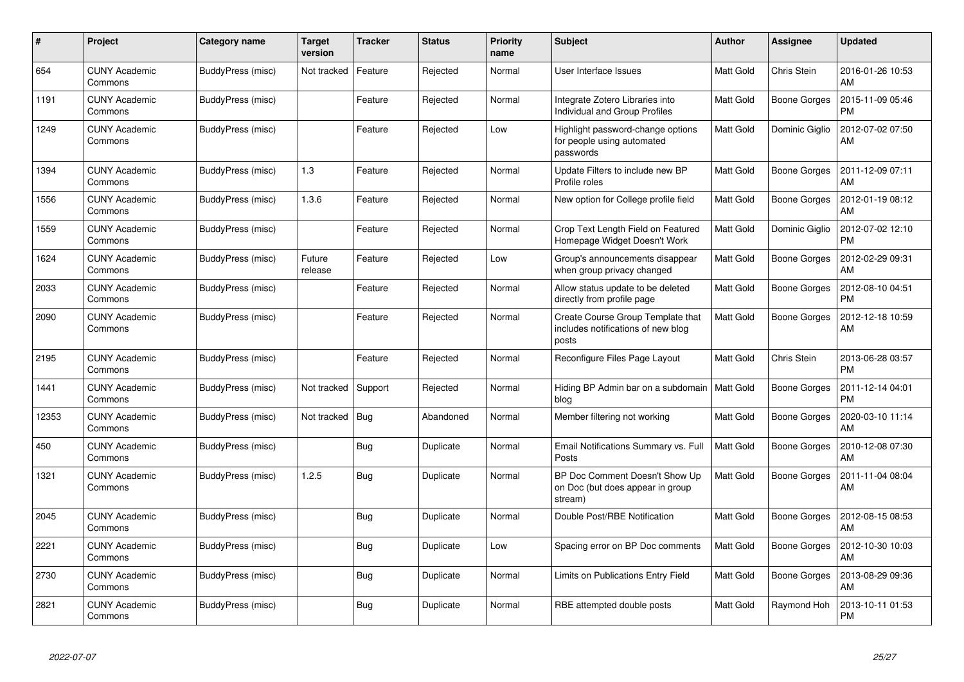| #     | Project                         | Category name     | Target<br>version | <b>Tracker</b> | <b>Status</b> | <b>Priority</b><br>name | <b>Subject</b>                                                                   | <b>Author</b>    | Assignee       | <b>Updated</b>                |
|-------|---------------------------------|-------------------|-------------------|----------------|---------------|-------------------------|----------------------------------------------------------------------------------|------------------|----------------|-------------------------------|
| 654   | <b>CUNY Academic</b><br>Commons | BuddyPress (misc) | Not tracked       | Feature        | Rejected      | Normal                  | User Interface Issues                                                            | <b>Matt Gold</b> | Chris Stein    | 2016-01-26 10:53<br>AM        |
| 1191  | <b>CUNY Academic</b><br>Commons | BuddyPress (misc) |                   | Feature        | Rejected      | Normal                  | Integrate Zotero Libraries into<br>Individual and Group Profiles                 | <b>Matt Gold</b> | Boone Gorges   | 2015-11-09 05:46<br><b>PM</b> |
| 1249  | <b>CUNY Academic</b><br>Commons | BuddyPress (misc) |                   | Feature        | Rejected      | Low                     | Highlight password-change options<br>for people using automated<br>passwords     | <b>Matt Gold</b> | Dominic Giglio | 2012-07-02 07:50<br>AM        |
| 1394  | <b>CUNY Academic</b><br>Commons | BuddyPress (misc) | 1.3               | Feature        | Rejected      | Normal                  | Update Filters to include new BP<br>Profile roles                                | <b>Matt Gold</b> | Boone Gorges   | 2011-12-09 07:11<br>AM        |
| 1556  | <b>CUNY Academic</b><br>Commons | BuddyPress (misc) | 1.3.6             | Feature        | Rejected      | Normal                  | New option for College profile field                                             | <b>Matt Gold</b> | Boone Gorges   | 2012-01-19 08:12<br>AM        |
| 1559  | <b>CUNY Academic</b><br>Commons | BuddyPress (misc) |                   | Feature        | Rejected      | Normal                  | Crop Text Length Field on Featured<br>Homepage Widget Doesn't Work               | <b>Matt Gold</b> | Dominic Giglio | 2012-07-02 12:10<br><b>PM</b> |
| 1624  | <b>CUNY Academic</b><br>Commons | BuddyPress (misc) | Future<br>release | Feature        | Rejected      | Low                     | Group's announcements disappear<br>when group privacy changed                    | <b>Matt Gold</b> | Boone Gorges   | 2012-02-29 09:31<br>AM        |
| 2033  | <b>CUNY Academic</b><br>Commons | BuddyPress (misc) |                   | Feature        | Rejected      | Normal                  | Allow status update to be deleted<br>directly from profile page                  | <b>Matt Gold</b> | Boone Gorges   | 2012-08-10 04:51<br><b>PM</b> |
| 2090  | CUNY Academic<br>Commons        | BuddyPress (misc) |                   | Feature        | Rejected      | Normal                  | Create Course Group Template that<br>includes notifications of new blog<br>posts | <b>Matt Gold</b> | Boone Gorges   | 2012-12-18 10:59<br>AM        |
| 2195  | <b>CUNY Academic</b><br>Commons | BuddyPress (misc) |                   | Feature        | Rejected      | Normal                  | Reconfigure Files Page Layout                                                    | <b>Matt Gold</b> | Chris Stein    | 2013-06-28 03:57<br><b>PM</b> |
| 1441  | <b>CUNY Academic</b><br>Commons | BuddyPress (misc) | Not tracked       | Support        | Rejected      | Normal                  | Hiding BP Admin bar on a subdomain<br>blog                                       | Matt Gold        | Boone Gorges   | 2011-12-14 04:01<br><b>PM</b> |
| 12353 | <b>CUNY Academic</b><br>Commons | BuddyPress (misc) | Not tracked       | Bug            | Abandoned     | Normal                  | Member filtering not working                                                     | <b>Matt Gold</b> | Boone Gorges   | 2020-03-10 11:14<br>AM        |
| 450   | <b>CUNY Academic</b><br>Commons | BuddyPress (misc) |                   | <b>Bug</b>     | Duplicate     | Normal                  | Email Notifications Summary vs. Full<br>Posts                                    | <b>Matt Gold</b> | Boone Gorges   | 2010-12-08 07:30<br>AM        |
| 1321  | <b>CUNY Academic</b><br>Commons | BuddyPress (misc) | 1.2.5             | Bug            | Duplicate     | Normal                  | BP Doc Comment Doesn't Show Up<br>on Doc (but does appear in group<br>stream)    | <b>Matt Gold</b> | Boone Gorges   | 2011-11-04 08:04<br>AM        |
| 2045  | <b>CUNY Academic</b><br>Commons | BuddyPress (misc) |                   | <b>Bug</b>     | Duplicate     | Normal                  | Double Post/RBE Notification                                                     | <b>Matt Gold</b> | Boone Gorges   | 2012-08-15 08:53<br>AM        |
| 2221  | <b>CUNY Academic</b><br>Commons | BuddyPress (misc) |                   | <b>Bug</b>     | Duplicate     | Low                     | Spacing error on BP Doc comments                                                 | Matt Gold        | Boone Gorges   | 2012-10-30 10:03<br>AM        |
| 2730  | <b>CUNY Academic</b><br>Commons | BuddyPress (misc) |                   | <b>Bug</b>     | Duplicate     | Normal                  | Limits on Publications Entry Field                                               | <b>Matt Gold</b> | Boone Gorges   | 2013-08-29 09:36<br>AM        |
| 2821  | <b>CUNY Academic</b><br>Commons | BuddyPress (misc) |                   | <b>Bug</b>     | Duplicate     | Normal                  | RBE attempted double posts                                                       | <b>Matt Gold</b> | Raymond Hoh    | 2013-10-11 01:53<br><b>PM</b> |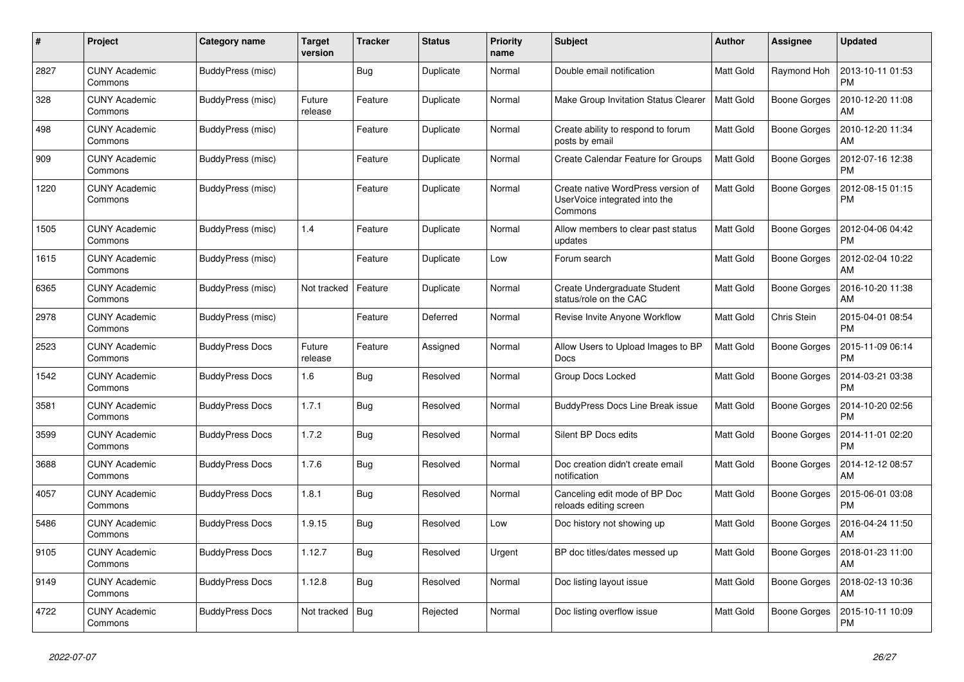| #    | Project                         | Category name          | Target<br>version | <b>Tracker</b> | <b>Status</b> | <b>Priority</b><br>name | <b>Subject</b>                                                                 | <b>Author</b>    | Assignee            | <b>Updated</b>                |
|------|---------------------------------|------------------------|-------------------|----------------|---------------|-------------------------|--------------------------------------------------------------------------------|------------------|---------------------|-------------------------------|
| 2827 | <b>CUNY Academic</b><br>Commons | BuddyPress (misc)      |                   | <b>Bug</b>     | Duplicate     | Normal                  | Double email notification                                                      | <b>Matt Gold</b> | Raymond Hoh         | 2013-10-11 01:53<br><b>PM</b> |
| 328  | <b>CUNY Academic</b><br>Commons | BuddyPress (misc)      | Future<br>release | Feature        | Duplicate     | Normal                  | Make Group Invitation Status Clearer                                           | <b>Matt Gold</b> | Boone Gorges        | 2010-12-20 11:08<br>AM        |
| 498  | <b>CUNY Academic</b><br>Commons | BuddyPress (misc)      |                   | Feature        | Duplicate     | Normal                  | Create ability to respond to forum<br>posts by email                           | <b>Matt Gold</b> | Boone Gorges        | 2010-12-20 11:34<br>AM        |
| 909  | <b>CUNY Academic</b><br>Commons | BuddyPress (misc)      |                   | Feature        | Duplicate     | Normal                  | Create Calendar Feature for Groups                                             | <b>Matt Gold</b> | Boone Gorges        | 2012-07-16 12:38<br><b>PM</b> |
| 1220 | <b>CUNY Academic</b><br>Commons | BuddyPress (misc)      |                   | Feature        | Duplicate     | Normal                  | Create native WordPress version of<br>UserVoice integrated into the<br>Commons | <b>Matt Gold</b> | Boone Gorges        | 2012-08-15 01:15<br>PM        |
| 1505 | <b>CUNY Academic</b><br>Commons | BuddyPress (misc)      | 1.4               | Feature        | Duplicate     | Normal                  | Allow members to clear past status<br>updates                                  | <b>Matt Gold</b> | Boone Gorges        | 2012-04-06 04:42<br><b>PM</b> |
| 1615 | <b>CUNY Academic</b><br>Commons | BuddyPress (misc)      |                   | Feature        | Duplicate     | Low                     | Forum search                                                                   | <b>Matt Gold</b> | <b>Boone Gorges</b> | 2012-02-04 10:22<br>AM        |
| 6365 | <b>CUNY Academic</b><br>Commons | BuddyPress (misc)      | Not tracked       | Feature        | Duplicate     | Normal                  | Create Undergraduate Student<br>status/role on the CAC                         | <b>Matt Gold</b> | Boone Gorges        | 2016-10-20 11:38<br>AM        |
| 2978 | <b>CUNY Academic</b><br>Commons | BuddyPress (misc)      |                   | Feature        | Deferred      | Normal                  | Revise Invite Anyone Workflow                                                  | <b>Matt Gold</b> | Chris Stein         | 2015-04-01 08:54<br><b>PM</b> |
| 2523 | <b>CUNY Academic</b><br>Commons | <b>BuddyPress Docs</b> | Future<br>release | Feature        | Assigned      | Normal                  | Allow Users to Upload Images to BP<br>Docs                                     | <b>Matt Gold</b> | <b>Boone Gorges</b> | 2015-11-09 06:14<br><b>PM</b> |
| 1542 | <b>CUNY Academic</b><br>Commons | <b>BuddyPress Docs</b> | 1.6               | Bug            | Resolved      | Normal                  | Group Docs Locked                                                              | <b>Matt Gold</b> | Boone Gorges        | 2014-03-21 03:38<br><b>PM</b> |
| 3581 | <b>CUNY Academic</b><br>Commons | <b>BuddyPress Docs</b> | 1.7.1             | <b>Bug</b>     | Resolved      | Normal                  | <b>BuddyPress Docs Line Break issue</b>                                        | <b>Matt Gold</b> | Boone Gorges        | 2014-10-20 02:56<br>PM        |
| 3599 | <b>CUNY Academic</b><br>Commons | <b>BuddyPress Docs</b> | 1.7.2             | Bug            | Resolved      | Normal                  | Silent BP Docs edits                                                           | <b>Matt Gold</b> | Boone Gorges        | 2014-11-01 02:20<br><b>PM</b> |
| 3688 | <b>CUNY Academic</b><br>Commons | <b>BuddyPress Docs</b> | 1.7.6             | Bug            | Resolved      | Normal                  | Doc creation didn't create email<br>notification                               | <b>Matt Gold</b> | Boone Gorges        | 2014-12-12 08:57<br>AM        |
| 4057 | <b>CUNY Academic</b><br>Commons | <b>BuddyPress Docs</b> | 1.8.1             | <b>Bug</b>     | Resolved      | Normal                  | Canceling edit mode of BP Doc<br>reloads editing screen                        | Matt Gold        | Boone Gorges        | 2015-06-01 03:08<br><b>PM</b> |
| 5486 | <b>CUNY Academic</b><br>Commons | <b>BuddyPress Docs</b> | 1.9.15            | Bug            | Resolved      | Low                     | Doc history not showing up                                                     | <b>Matt Gold</b> | Boone Gorges        | 2016-04-24 11:50<br>AM        |
| 9105 | <b>CUNY Academic</b><br>Commons | <b>BuddyPress Docs</b> | 1.12.7            | <b>Bug</b>     | Resolved      | Urgent                  | BP doc titles/dates messed up                                                  | <b>Matt Gold</b> | Boone Gorges        | 2018-01-23 11:00<br>AM        |
| 9149 | <b>CUNY Academic</b><br>Commons | <b>BuddyPress Docs</b> | 1.12.8            | Bug            | Resolved      | Normal                  | Doc listing layout issue                                                       | <b>Matt Gold</b> | Boone Gorges        | 2018-02-13 10:36<br>AM        |
| 4722 | <b>CUNY Academic</b><br>Commons | <b>BuddyPress Docs</b> | Not tracked   Bug |                | Rejected      | Normal                  | Doc listing overflow issue                                                     | <b>Matt Gold</b> | Boone Gorges        | 2015-10-11 10:09<br><b>PM</b> |